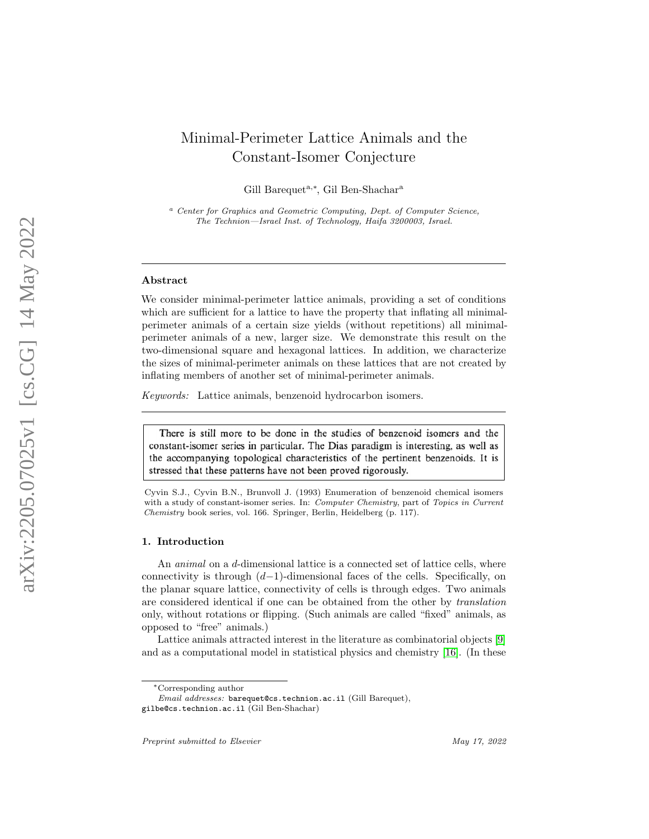# Minimal-Perimeter Lattice Animals and the Constant-Isomer Conjecture

Gill Barequet<sup>a,\*</sup>, Gil Ben-Shachar<sup>a</sup>

<sup>a</sup> Center for Graphics and Geometric Computing, Dept. of Computer Science, The Technion—Israel Inst. of Technology, Haifa 3200003, Israel.

#### Abstract

We consider minimal-perimeter lattice animals, providing a set of conditions which are sufficient for a lattice to have the property that inflating all minimalperimeter animals of a certain size yields (without repetitions) all minimalperimeter animals of a new, larger size. We demonstrate this result on the two-dimensional square and hexagonal lattices. In addition, we characterize the sizes of minimal-perimeter animals on these lattices that are not created by inflating members of another set of minimal-perimeter animals.

Keywords: Lattice animals, benzenoid hydrocarbon isomers.

There is still more to be done in the studies of benzenoid isomers and the constant-isomer series in particular. The Dias paradigm is interesting, as well as the accompanying topological characteristics of the pertinent benzenoids. It is stressed that these patterns have not been proved rigorously.

Cyvin S.J., Cyvin B.N., Brunvoll J. (1993) Enumeration of benzenoid chemical isomers with a study of constant-isomer series. In: Computer Chemistry, part of Topics in Current Chemistry book series, vol. 166. Springer, Berlin, Heidelberg (p. 117).

#### 1. Introduction

An *animal* on a *d*-dimensional lattice is a connected set of lattice cells, where connectivity is through  $(d-1)$ -dimensional faces of the cells. Specifically, on the planar square lattice, connectivity of cells is through edges. Two animals are considered identical if one can be obtained from the other by translation only, without rotations or flipping. (Such animals are called "fixed" animals, as opposed to "free" animals.)

Lattice animals attracted interest in the literature as combinatorial objects [[9](#page-23-0)] and as a computational model in statistical physics and chemistry [\[16\]](#page-23-1). (In these

<sup>∗</sup>Corresponding author

Email addresses: barequet@cs.technion.ac.il (Gill Barequet), gilbe@cs.technion.ac.il (Gil Ben-Shachar)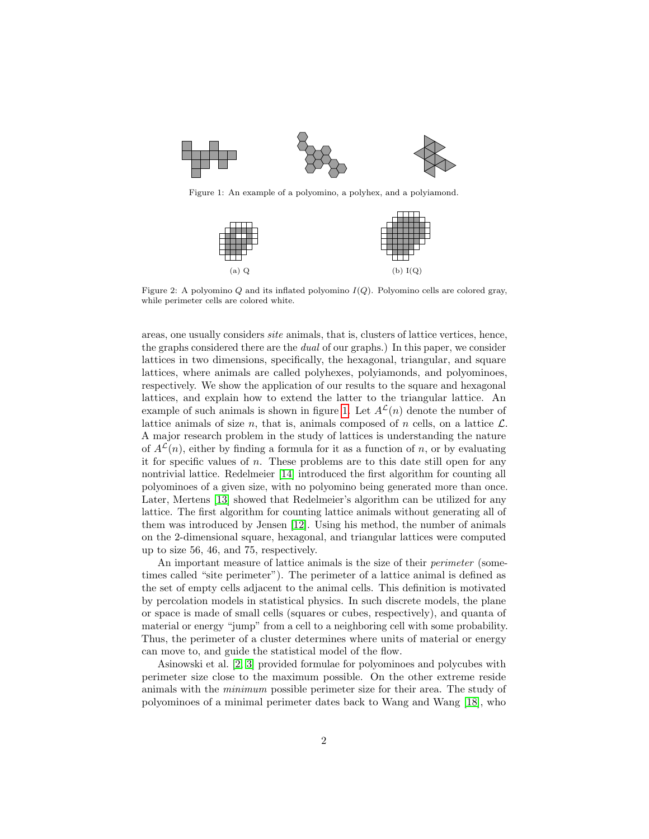<span id="page-1-0"></span>

<span id="page-1-1"></span>Figure 1: An example of a polyomino, a polyhex, and a polyiamond.



Figure 2: A polyomino  $Q$  and its inflated polyomino  $I(Q)$ . Polyomino cells are colored gray, while perimeter cells are colored white.

areas, one usually considers site animals, that is, clusters of lattice vertices, hence, the graphs considered there are the dual of our graphs.) In this paper, we consider lattices in two dimensions, specifically, the hexagonal, triangular, and square lattices, where animals are called polyhexes, polyiamonds, and polyominoes, respectively. We show the application of our results to the square and hexagonal lattices, and explain how to extend the latter to the triangular lattice. An example of such animals is shown in figure [1.](#page-1-0) Let  $A^{\mathcal{L}}(n)$  denote the number of lattice animals of size n, that is, animals composed of n cells, on a lattice  $\mathcal{L}$ . A major research problem in the study of lattices is understanding the nature of  $A^{\mathcal{L}}(n)$ , either by finding a formula for it as a function of n, or by evaluating it for specific values of n. These problems are to this date still open for any nontrivial lattice. Redelmeier [\[14\]](#page-23-2) introduced the first algorithm for counting all polyominoes of a given size, with no polyomino being generated more than once. Later, Mertens [\[13\]](#page-23-3) showed that Redelmeier's algorithm can be utilized for any lattice. The first algorithm for counting lattice animals without generating all of them was introduced by Jensen [\[12\]](#page-23-4). Using his method, the number of animals on the 2-dimensional square, hexagonal, and triangular lattices were computed up to size 56, 46, and 75, respectively.

An important measure of lattice animals is the size of their *perimeter* (sometimes called "site perimeter"). The perimeter of a lattice animal is defined as the set of empty cells adjacent to the animal cells. This definition is motivated by percolation models in statistical physics. In such discrete models, the plane or space is made of small cells (squares or cubes, respectively), and quanta of material or energy "jump" from a cell to a neighboring cell with some probability. Thus, the perimeter of a cluster determines where units of material or energy can move to, and guide the statistical model of the flow.

Asinowski et al. [\[2,](#page-22-0) [3\]](#page-22-1) provided formulae for polyominoes and polycubes with perimeter size close to the maximum possible. On the other extreme reside animals with the minimum possible perimeter size for their area. The study of polyominoes of a minimal perimeter dates back to Wang and Wang [\[18\]](#page-23-5), who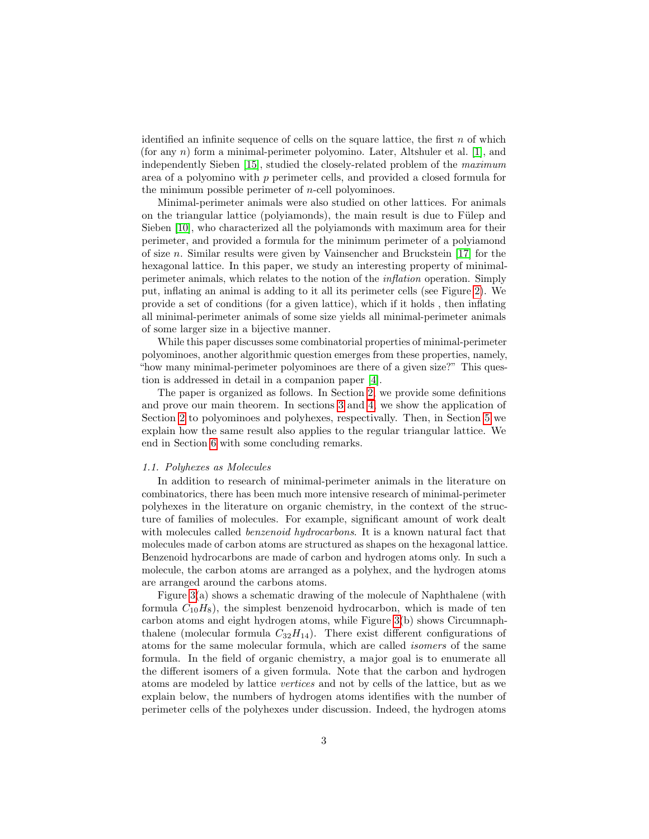identified an infinite sequence of cells on the square lattice, the first  $n$  of which (for any n) form a minimal-perimeter polyomino. Later, Altshuler et al. [\[1\]](#page-22-2), and independently Sieben [\[15\]](#page-23-6), studied the closely-related problem of the maximum area of a polyomino with p perimeter cells, and provided a closed formula for the minimum possible perimeter of  $n$ -cell polyominoes.

Minimal-perimeter animals were also studied on other lattices. For animals on the triangular lattice (polyiamonds), the main result is due to Fülep and Sieben [\[10\]](#page-23-7), who characterized all the polyiamonds with maximum area for their perimeter, and provided a formula for the minimum perimeter of a polyiamond of size n. Similar results were given by Vainsencher and Bruckstein  $[17]$  for the hexagonal lattice. In this paper, we study an interesting property of minimalperimeter animals, which relates to the notion of the inflation operation. Simply put, inflating an animal is adding to it all its perimeter cells (see Figure [2\)](#page-1-1). We provide a set of conditions (for a given lattice), which if it holds , then inflating all minimal-perimeter animals of some size yields all minimal-perimeter animals of some larger size in a bijective manner.

While this paper discusses some combinatorial properties of minimal-perimeter polyominoes, another algorithmic question emerges from these properties, namely, "how many minimal-perimeter polyominoes are there of a given size?" This question is addressed in detail in a companion paper [\[4\]](#page-22-3).

The paper is organized as follows. In Section [2,](#page-4-0) we provide some definitions and prove our main theorem. In sections [3](#page-9-0) and [4,](#page-15-0) we show the application of Section [2](#page-4-0) to polyominoes and polyhexes, respectivally. Then, in Section [5](#page-21-0) we explain how the same result also applies to the regular triangular lattice. We end in Section [6](#page-21-1) with some concluding remarks.

#### 1.1. Polyhexes as Molecules

In addition to research of minimal-perimeter animals in the literature on combinatorics, there has been much more intensive research of minimal-perimeter polyhexes in the literature on organic chemistry, in the context of the structure of families of molecules. For example, significant amount of work dealt with molecules called *benzenoid hydrocarbons*. It is a known natural fact that molecules made of carbon atoms are structured as shapes on the hexagonal lattice. Benzenoid hydrocarbons are made of carbon and hydrogen atoms only. In such a molecule, the carbon atoms are arranged as a polyhex, and the hydrogen atoms are arranged around the carbons atoms.

Figure [3\(](#page-3-0)a) shows a schematic drawing of the molecule of Naphthalene (with formula  $C_{10}H_8$ , the simplest benzenoid hydrocarbon, which is made of ten carbon atoms and eight hydrogen atoms, while Figure [3\(](#page-3-0)b) shows Circumnaphthalene (molecular formula  $C_{32}H_{14}$ ). There exist different configurations of atoms for the same molecular formula, which are called isomers of the same formula. In the field of organic chemistry, a major goal is to enumerate all the different isomers of a given formula. Note that the carbon and hydrogen atoms are modeled by lattice vertices and not by cells of the lattice, but as we explain below, the numbers of hydrogen atoms identifies with the number of perimeter cells of the polyhexes under discussion. Indeed, the hydrogen atoms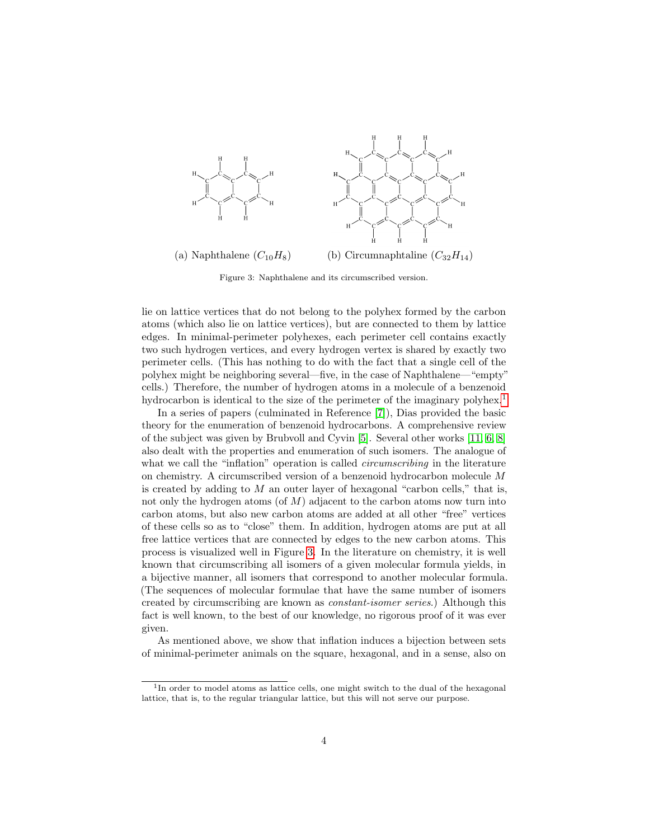<span id="page-3-0"></span>

Figure 3: Naphthalene and its circumscribed version.

lie on lattice vertices that do not belong to the polyhex formed by the carbon atoms (which also lie on lattice vertices), but are connected to them by lattice edges. In minimal-perimeter polyhexes, each perimeter cell contains exactly two such hydrogen vertices, and every hydrogen vertex is shared by exactly two perimeter cells. (This has nothing to do with the fact that a single cell of the polyhex might be neighboring several—five, in the case of Naphthalene—"empty" cells.) Therefore, the number of hydrogen atoms in a molecule of a benzenoid hydrocarbon is identical to the size of the perimeter of the imaginary polyhex.<sup>[1](#page-3-1)</sup>

In a series of papers (culminated in Reference [\[7\]](#page-22-4)), Dias provided the basic theory for the enumeration of benzenoid hydrocarbons. A comprehensive review of the subject was given by Brubvoll and Cyvin [\[5\]](#page-22-5). Several other works [\[11,](#page-23-9) [6,](#page-22-6) [8\]](#page-23-10) also dealt with the properties and enumeration of such isomers. The analogue of what we call the "inflation" operation is called *circumscribing* in the literature on chemistry. A circumscribed version of a benzenoid hydrocarbon molecule M is created by adding to  $M$  an outer layer of hexagonal "carbon cells," that is, not only the hydrogen atoms (of  $M$ ) adjacent to the carbon atoms now turn into carbon atoms, but also new carbon atoms are added at all other "free" vertices of these cells so as to "close" them. In addition, hydrogen atoms are put at all free lattice vertices that are connected by edges to the new carbon atoms. This process is visualized well in Figure [3.](#page-3-0) In the literature on chemistry, it is well known that circumscribing all isomers of a given molecular formula yields, in a bijective manner, all isomers that correspond to another molecular formula. (The sequences of molecular formulae that have the same number of isomers created by circumscribing are known as constant-isomer series.) Although this fact is well known, to the best of our knowledge, no rigorous proof of it was ever given.

As mentioned above, we show that inflation induces a bijection between sets of minimal-perimeter animals on the square, hexagonal, and in a sense, also on

<span id="page-3-1"></span><sup>&</sup>lt;sup>1</sup>In order to model atoms as lattice cells, one might switch to the dual of the hexagonal lattice, that is, to the regular triangular lattice, but this will not serve our purpose.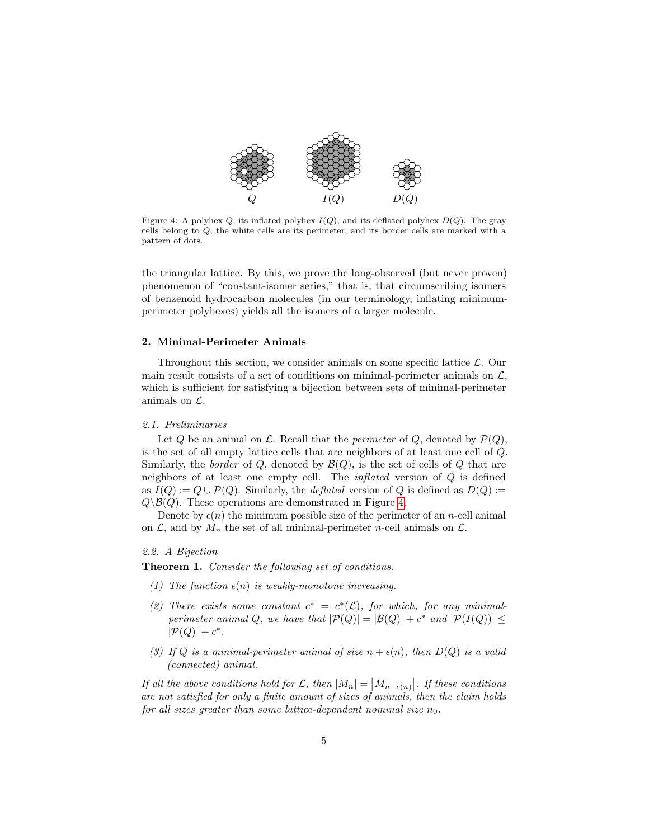<span id="page-4-1"></span>

Figure 4: A polyhex  $Q$ , its inflated polyhex  $I(Q)$ , and its deflated polyhex  $D(Q)$ . The gray cells belong to Q, the white cells are its perimeter, and its border cells are marked with a pattern of dots.

the triangular lattice. By this, we prove the long-observed (but never proven) phenomenon of "constant-isomer series," that is, that circumscribing isomers of benzenoid hydrocarbon molecules (in our terminology, inflating minimumperimeter polyhexes) yields all the isomers of a larger molecule.

# <span id="page-4-0"></span>2. Minimal-Perimeter Animals

Throughout this section, we consider animals on some specific lattice  $\mathcal{L}$ . Our main result consists of a set of conditions on minimal-perimeter animals on  $\mathcal{L}$ , which is sufficient for satisfying a bijection between sets of minimal-perimeter animals on L.

#### 2.1. Preliminaries

Let Q be an animal on  $\mathcal L$ . Recall that the *perimeter* of Q, denoted by  $\mathcal P(Q)$ , is the set of all empty lattice cells that are neighbors of at least one cell of Q. Similarly, the *border* of  $Q$ , denoted by  $\mathcal{B}(Q)$ , is the set of cells of  $Q$  that are neighbors of at least one empty cell. The inflated version of Q is defined as  $I(Q) := Q \cup \mathcal{P}(Q)$ . Similarly, the *deflated* version of Q is defined as  $D(Q) :=$  $Q\setminus\mathcal{B}(Q)$ . These operations are demonstrated in Figure [4.](#page-4-1)

Denote by  $\epsilon(n)$  the minimum possible size of the perimeter of an *n*-cell animal on  $\mathcal{L}$ , and by  $M_n$  the set of all minimal-perimeter *n*-cell animals on  $\mathcal{L}$ .

# 2.2. A Bijection

<span id="page-4-2"></span>Theorem 1. Consider the following set of conditions.

- (1) The function  $\epsilon(n)$  is weakly-monotone increasing.
- (2) There exists some constant  $c^* = c^*(\mathcal{L})$ , for which, for any minimalperimeter animal Q, we have that  $|\mathcal{P}(Q)| = |\mathcal{B}(Q)| + c^*$  and  $|\mathcal{P}(I(Q))| \le$  $|\mathcal{P}(Q)| + c^*$ .
- (3) If Q is a minimal-perimeter animal of size  $n + \epsilon(n)$ , then  $D(Q)$  is a valid (connected) animal.

If all the above conditions hold for  $\mathcal{L}$ , then  $|M_n| = |M_{n+\epsilon(n)}|$ . If these conditions are not satisfied for only a finite amount of sizes of animals, then the claim holds for all sizes greater than some lattice-dependent nominal size  $n_0$ .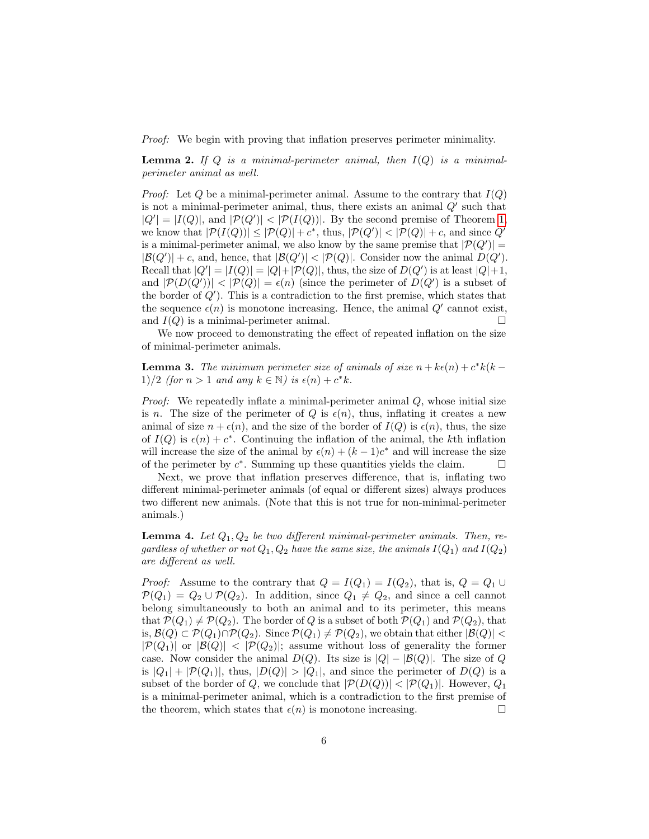<span id="page-5-1"></span>Proof: We begin with proving that inflation preserves perimeter minimality.

**Lemma 2.** If Q is a minimal-perimeter animal, then  $I(Q)$  is a minimalperimeter animal as well.

*Proof:* Let  $Q$  be a minimal-perimeter animal. Assume to the contrary that  $I(Q)$ is not a minimal-perimeter animal, thus, there exists an animal  $Q'$  such that  $|Q'| = |I(Q)|$ , and  $|\mathcal{P}(Q')| < |\mathcal{P}(I(Q))|$ . By the second premise of Theorem [1,](#page-4-2) we know that  $|\mathcal{P}(I(Q))| \leq |\mathcal{P}(Q)| + c^*$ , thus,  $|\mathcal{P}(Q')| < |\mathcal{P}(Q)| + c$ , and since  $Q'$ is a minimal-perimeter animal, we also know by the same premise that  $|\mathcal{P}(Q')|$  =  $|\mathcal{B}(Q')| + c$ , and, hence, that  $|\mathcal{B}(Q')| < |\mathcal{P}(Q)|$ . Consider now the animal  $D(Q')$ . Recall that  $|Q'| = |I(Q)| = |Q| + |\mathcal{P}(Q)|$ , thus, the size of  $D(Q')$  is at least  $|Q|+1$ , and  $|\mathcal{P}(D(Q'))| < |\mathcal{P}(Q)| = \epsilon(n)$  (since the perimeter of  $D(Q')$  is a subset of the border of  $Q'$ ). This is a contradiction to the first premise, which states that the sequence  $\epsilon(n)$  is monotone increasing. Hence, the animal  $Q'$  cannot exist, and  $I(Q)$  is a minimal-perimeter animal.

We now proceed to demonstrating the effect of repeated inflation on the size of minimal-perimeter animals.

<span id="page-5-0"></span>**Lemma 3.** The minimum perimeter size of animals of size  $n + k\epsilon(n) + c^*k(k - \epsilon)$ 1)/2 (for  $n > 1$  and any  $k \in \mathbb{N}$ ) is  $\epsilon(n) + c^*k$ .

*Proof:* We repeatedly inflate a minimal-perimeter animal  $Q$ , whose initial size is n. The size of the perimeter of Q is  $\epsilon(n)$ , thus, inflating it creates a new animal of size  $n + \epsilon(n)$ , and the size of the border of  $I(Q)$  is  $\epsilon(n)$ , thus, the size of  $I(Q)$  is  $\epsilon(n) + c^*$ . Continuing the inflation of the animal, the kth inflation will increase the size of the animal by  $\epsilon(n) + (k-1)c^*$  and will increase the size of the perimeter by  $c^*$ . Summing up these quantities yields the claim.  $\square$ 

Next, we prove that inflation preserves difference, that is, inflating two different minimal-perimeter animals (of equal or different sizes) always produces two different new animals. (Note that this is not true for non-minimal-perimeter animals.)

<span id="page-5-2"></span>**Lemma 4.** Let  $Q_1, Q_2$  be two different minimal-perimeter animals. Then, regardless of whether or not  $Q_1, Q_2$  have the same size, the animals  $I(Q_1)$  and  $I(Q_2)$ are different as well.

*Proof:* Assume to the contrary that  $Q = I(Q_1) = I(Q_2)$ , that is,  $Q = Q_1 \cup$  $\mathcal{P}(Q_1) = Q_2 \cup \mathcal{P}(Q_2)$ . In addition, since  $Q_1 \neq Q_2$ , and since a cell cannot belong simultaneously to both an animal and to its perimeter, this means that  $\mathcal{P}(Q_1) \neq \mathcal{P}(Q_2)$ . The border of Q is a subset of both  $\mathcal{P}(Q_1)$  and  $\mathcal{P}(Q_2)$ , that is,  $\mathcal{B}(Q) \subset \mathcal{P}(Q_1) \cap \mathcal{P}(Q_2)$ . Since  $\mathcal{P}(Q_1) \neq \mathcal{P}(Q_2)$ , we obtain that either  $|\mathcal{B}(Q)| <$  $|\mathcal{P}(Q_1)|$  or  $|\mathcal{B}(Q)| < |\mathcal{P}(Q_2)|$ ; assume without loss of generality the former case. Now consider the animal  $D(Q)$ . Its size is  $|Q| - |B(Q)|$ . The size of Q is  $|Q_1| + |\mathcal{P}(Q_1)|$ , thus,  $|D(Q)| > |Q_1|$ , and since the perimeter of  $D(Q)$  is a subset of the border of Q, we conclude that  $|\mathcal{P}(D(Q))| < |\mathcal{P}(Q_1)|$ . However,  $Q_1$ is a minimal-perimeter animal, which is a contradiction to the first premise of the theorem, which states that  $\epsilon(n)$  is monotone increasing.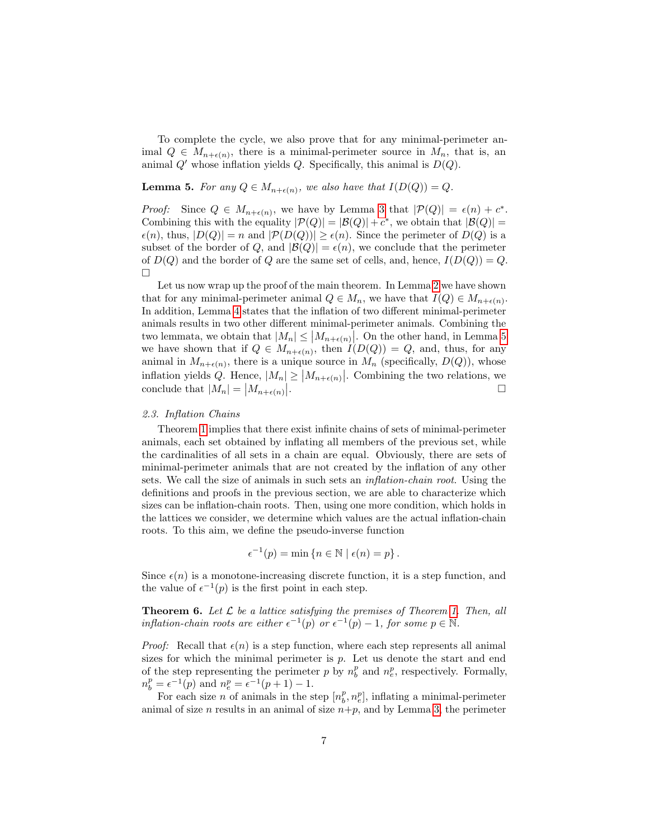To complete the cycle, we also prove that for any minimal-perimeter animal  $Q \in M_{n+\epsilon(n)}$ , there is a minimal-perimeter source in  $M_n$ , that is, an animal  $Q'$  whose inflation yields  $Q$ . Specifically, this animal is  $D(Q)$ .

# <span id="page-6-0"></span>**Lemma 5.** For any  $Q \in M_{n+\epsilon(n)}$ , we also have that  $I(D(Q)) = Q$ .

*Proof:* Since  $Q \in M_{n+\epsilon(n)}$ , we have by Lemma [3](#page-5-0) that  $|\mathcal{P}(Q)| = \epsilon(n) + c^*$ . Combining this with the equality  $|\mathcal{P}(Q)| = |\mathcal{B}(Q)| + c^*$ , we obtain that  $|\mathcal{B}(Q)| =$  $\epsilon(n)$ , thus,  $|D(Q)| = n$  and  $|\mathcal{P}(D(Q))| \geq \epsilon(n)$ . Since the perimeter of  $D(Q)$  is a subset of the border of Q, and  $|\mathcal{B}(Q)| = \epsilon(n)$ , we conclude that the perimeter of  $D(Q)$  and the border of Q are the same set of cells, and, hence,  $I(D(Q)) = Q$ .  $\Box$ 

Let us now wrap up the proof of the main theorem. In Lemma [2](#page-5-1) we have shown that for any minimal-perimeter animal  $Q \in M_n$ , we have that  $I(Q) \in M_{n+\epsilon(n)}$ . In addition, Lemma [4](#page-5-2) states that the inflation of two different minimal-perimeter animals results in two other different minimal-perimeter animals. Combining the two lemmata, we obtain that  $|M_n| \leq |M_{n+\epsilon(n)}|$ . On the other hand, in Lemma [5](#page-6-0) we have shown that if  $Q \in M_{n+\epsilon(n)}$ , then  $I(D(Q)) = Q$ , and, thus, for any animal in  $M_{n+\epsilon(n)}$ , there is a unique source in  $M_n$  (specifically,  $D(Q)$ ), whose inflation yields Q. Hence,  $|M_n| \ge |M_{n+\epsilon(n)}|$ . Combining the two relations, we conclude that  $|M_n| = |M_{n+\epsilon(n)}|$ .

#### 2.3. Inflation Chains

Theorem [1](#page-4-2) implies that there exist infinite chains of sets of minimal-perimeter animals, each set obtained by inflating all members of the previous set, while the cardinalities of all sets in a chain are equal. Obviously, there are sets of minimal-perimeter animals that are not created by the inflation of any other sets. We call the size of animals in such sets an inflation-chain root. Using the definitions and proofs in the previous section, we are able to characterize which sizes can be inflation-chain roots. Then, using one more condition, which holds in the lattices we consider, we determine which values are the actual inflation-chain roots. To this aim, we define the pseudo-inverse function

$$
\epsilon^{-1}(p) = \min \left\{ n \in \mathbb{N} \mid \epsilon(n) = p \right\}.
$$

Since  $\epsilon(n)$  is a monotone-increasing discrete function, it is a step function, and the value of  $\epsilon^{-1}(p)$  is the first point in each step.

<span id="page-6-1"></span>**Theorem 6.** Let  $\mathcal{L}$  be a lattice satisfying the premises of Theorem [1.](#page-4-2) Then, all inflation-chain roots are either  $\epsilon^{-1}(p)$  or  $\epsilon^{-1}(p) - 1$ , for some  $p \in \mathbb{N}$ .

*Proof:* Recall that  $\epsilon(n)$  is a step function, where each step represents all animal sizes for which the minimal perimeter is  $p$ . Let us denote the start and end of the step representing the perimeter p by  $n_b^p$  and  $n_e^p$ , respectively. Formally,  $n_b^p = \epsilon^{-1}(p)$  and  $n_e^p = \epsilon^{-1}(p+1) - 1$ .

For each size n of animals in the step  $[n_b^p, n_e^p]$ , inflating a minimal-perimeter animal of size n results in an animal of size  $n+p$ , and by Lemma [3,](#page-5-0) the perimeter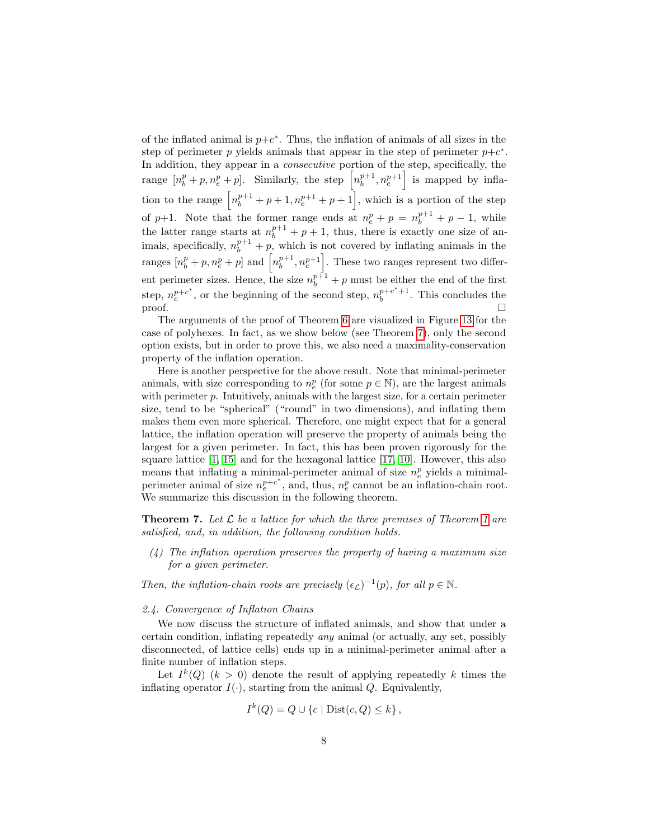of the inflated animal is  $p+c^*$ . Thus, the inflation of animals of all sizes in the step of perimeter p yields animals that appear in the step of perimeter  $p+c^*$ . In addition, they appear in a consecutive portion of the step, specifically, the range  $[n_b^p + p, n_e^p + p]$ . Similarly, the step  $\left[n_b^{p+1}, n_e^{p+1}\right]$  is mapped by inflation to the range  $\left[n_b^{p+1} + p + 1, n_e^{p+1} + p + 1\right]$ , which is a portion of the step of p+1. Note that the former range ends at  $n_e^p + p = n_b^{p+1} + p - 1$ , while the latter range starts at  $n_b^{p+1} + p + 1$ , thus, there is exactly one size of animals, specifically,  $n_b^{p+1} + p$ , which is not covered by inflating animals in the ranges  $[n_b^p + p, n_e^p + p]$  and  $[n_b^{p+1}, n_e^{p+1}]$ . These two ranges represent two different perimeter sizes. Hence, the size  $n_b^{p+1} + p$  must be either the end of the first step,  $n_e^{p+c^*}$ , or the beginning of the second step,  $n_b^{p+c^*+1}$ . This concludes the  $\Box$ 

The arguments of the proof of Theorem [6](#page-6-1) are visualized in Figure [13](#page-20-0) for the case of polyhexes. In fact, as we show below (see Theorem [7\)](#page-7-0), only the second option exists, but in order to prove this, we also need a maximality-conservation property of the inflation operation.

Here is another perspective for the above result. Note that minimal-perimeter animals, with size corresponding to  $n_e^p$  (for some  $p \in \mathbb{N}$ ), are the largest animals with perimeter  $p$ . Intuitively, animals with the largest size, for a certain perimeter size, tend to be "spherical" ("round" in two dimensions), and inflating them makes them even more spherical. Therefore, one might expect that for a general lattice, the inflation operation will preserve the property of animals being the largest for a given perimeter. In fact, this has been proven rigorously for the square lattice [\[1,](#page-22-2) [15\]](#page-23-6) and for the hexagonal lattice [\[17,](#page-23-8) [10\]](#page-23-7). However, this also means that inflating a minimal-perimeter animal of size  $n_e^p$  yields a minimalperimeter animal of size  $n_e^{p+c^*}$ , and, thus,  $n_e^p$  cannot be an inflation-chain root. We summarize this discussion in the following theorem.

<span id="page-7-0"></span>**Theorem 7.** Let  $\mathcal{L}$  be a lattice for which the three premises of Theorem [1](#page-4-2) are satisfied, and, in addition, the following condition holds.

 $(4)$  The inflation operation preserves the property of having a maximum size for a given perimeter.

Then, the inflation-chain roots are precisely  $(\epsilon_{\mathcal{L}})^{-1}(p)$ , for all  $p \in \mathbb{N}$ .

#### 2.4. Convergence of Inflation Chains

We now discuss the structure of inflated animals, and show that under a certain condition, inflating repeatedly any animal (or actually, any set, possibly disconnected, of lattice cells) ends up in a minimal-perimeter animal after a finite number of inflation steps.

Let  $I^k(Q)$   $(k > 0)$  denote the result of applying repeatedly k times the inflating operator  $I(\cdot)$ , starting from the animal Q. Equivalently,

$$
I^k(Q) = Q \cup \{c \mid Dist(c, Q) \le k\},\
$$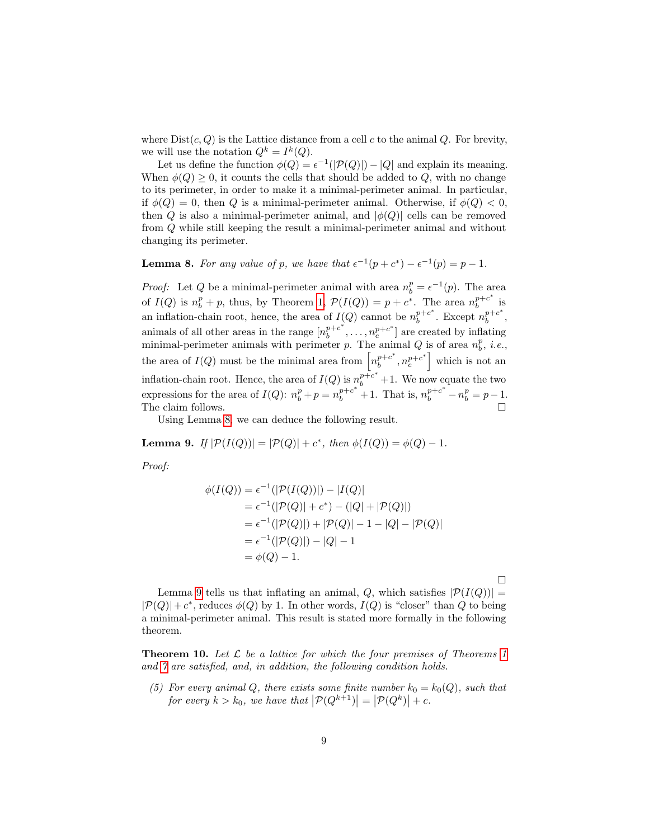where  $Dist(c, Q)$  is the Lattice distance from a cell c to the animal Q. For brevity, we will use the notation  $Q^k = I^k(Q)$ .

Let us define the function  $\phi(Q) = \epsilon^{-1}(|\mathcal{P}(Q)|) - |Q|$  and explain its meaning. When  $\phi(Q) \geq 0$ , it counts the cells that should be added to Q, with no change to its perimeter, in order to make it a minimal-perimeter animal. In particular, if  $\phi(Q) = 0$ , then Q is a minimal-perimeter animal. Otherwise, if  $\phi(Q) < 0$ , then Q is also a minimal-perimeter animal, and  $|\phi(Q)|$  cells can be removed from Q while still keeping the result a minimal-perimeter animal and without changing its perimeter.

# <span id="page-8-0"></span>**Lemma 8.** For any value of p, we have that  $\epsilon^{-1}(p + c^*) - \epsilon^{-1}(p) = p - 1$ .

*Proof:* Let Q be a minimal-perimeter animal with area  $n_b^p = \epsilon^{-1}(p)$ . The area of  $I(Q)$  is  $n_b^p + p$ , thus, by Theorem [1,](#page-4-2)  $\mathcal{P}(I(Q)) = p + c^*$ . The area  $n_b^{p+c^*}$  $b^{p+c}$  is an inflation-chain root, hence, the area of  $I(Q)$  cannot be  $n_h^{p+c^*}$  $b^{p+c^*}$ . Except  $n_b^{p+c^*}$  $b^{+c}$ , animals of all other areas in the range  $[n_b^{p+c^*}]$  $b^{p+c^*}, \ldots, n_e^{p+c^*}$  are created by inflating minimal-perimeter animals with perimeter p. The animal Q is of area  $n_b^p$ , *i.e.*, the area of  $I(Q)$  must be the minimal area from  $\left[n_h^{p+c^*}\right]$  $\left[\begin{array}{c} p+c^* \\ b \end{array}\right]$  which is not an inflation-chain root. Hence, the area of  $I(Q)$  is  $n_b^{p+c^*}+1$ . We now equate the two expressions for the area of  $I(Q)$ :  $n_b^p + p = n_b^{p+c^*} + 1$ . That is,  $n_b^{p+c^*} - n_b^p = p - 1$ . The claim follows.  $\Box$ 

Using Lemma [8,](#page-8-0) we can deduce the following result.

<span id="page-8-1"></span>**Lemma 9.** If  $|\mathcal{P}(I(Q))| = |\mathcal{P}(Q)| + c^*$ , then  $\phi(I(Q)) = \phi(Q) - 1$ .

Proof:

$$
\begin{aligned} \phi(I(Q)) &= \epsilon^{-1}(|\mathcal{P}(I(Q))|) - |I(Q)| \\ &= \epsilon^{-1}(|\mathcal{P}(Q)| + c^*) - (|Q| + |\mathcal{P}(Q)|) \\ &= \epsilon^{-1}(|\mathcal{P}(Q)|) + |\mathcal{P}(Q)| - 1 - |Q| - |\mathcal{P}(Q)| \\ &= \epsilon^{-1}(|\mathcal{P}(Q)|) - |Q| - 1 \\ &= \phi(Q) - 1. \end{aligned}
$$

Lemma [9](#page-8-1) tells us that inflating an animal, Q, which satisfies  $|\mathcal{P}(I(Q))|$  =  $|\mathcal{P}(Q)|+c^*$ , reduces  $\phi(Q)$  by 1. In other words,  $I(Q)$  is "closer" than Q to being a minimal-perimeter animal. This result is stated more formally in the following theorem.

 $\Box$ 

**Theorem [1](#page-4-2)0.** Let  $\mathcal{L}$  be a lattice for which the four premises of Theorems 1 and [7](#page-7-0) are satisfied, and, in addition, the following condition holds.

(5) For every animal Q, there exists some finite number  $k_0 = k_0(Q)$ , such that for every  $k > k_0$ , we have that  $\left| \mathcal{P}(Q^{k+1}) \right| = \left| \mathcal{P}(Q^k) \right| + c$ .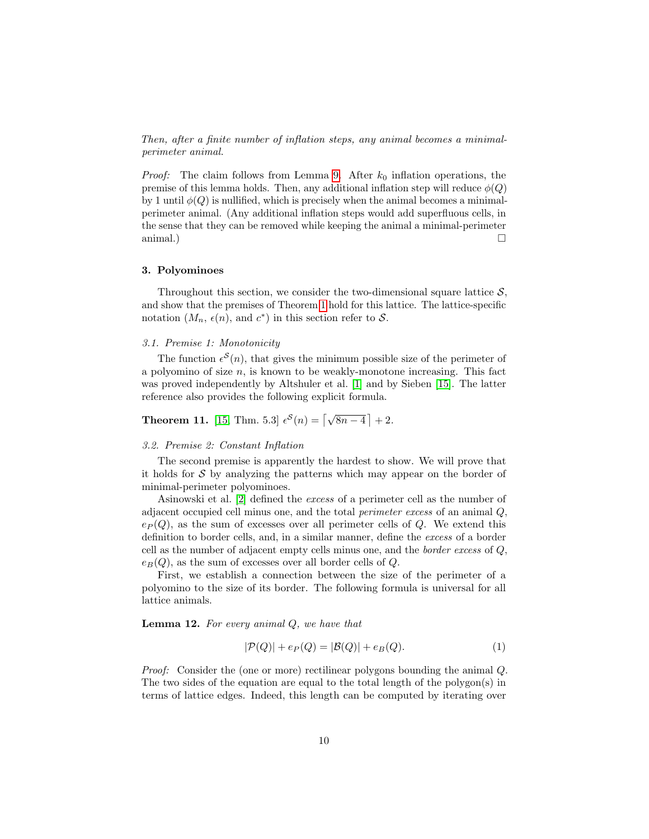Then, after a finite number of inflation steps, any animal becomes a minimalperimeter animal.

*Proof:* The claim follows from Lemma [9.](#page-8-1) After  $k_0$  inflation operations, the premise of this lemma holds. Then, any additional inflation step will reduce  $\phi(Q)$ by 1 until  $\phi(Q)$  is nullified, which is precisely when the animal becomes a minimalperimeter animal. (Any additional inflation steps would add superfluous cells, in the sense that they can be removed while keeping the animal a minimal-perimeter animal.)  $\square$ 

#### <span id="page-9-0"></span>3. Polyominoes

Throughout this section, we consider the two-dimensional square lattice  $S$ , and show that the premises of Theorem [1](#page-4-2) hold for this lattice. The lattice-specific notation  $(M_n, \epsilon(n))$ , and  $c^*$  in this section refer to S.

# 3.1. Premise 1: Monotonicity

The function  $\epsilon^{S}(n)$ , that gives the minimum possible size of the perimeter of a polyomino of size  $n$ , is known to be weakly-monotone increasing. This fact was proved independently by Altshuler et al. [\[1\]](#page-22-2) and by Sieben [\[15\]](#page-23-6). The latter reference also provides the following explicit formula.

# **Theorem 11.** [\[15,](#page-23-6) Thm. 5.3]  $\epsilon^{S}(n) = \lfloor \sqrt{8n-4} \rfloor + 2$ .

#### 3.2. Premise 2: Constant Inflation

The second premise is apparently the hardest to show. We will prove that it holds for  $S$  by analyzing the patterns which may appear on the border of minimal-perimeter polyominoes.

Asinowski et al. [\[2\]](#page-22-0) defined the excess of a perimeter cell as the number of adjacent occupied cell minus one, and the total perimeter excess of an animal Q,  $e_P(Q)$ , as the sum of excesses over all perimeter cells of Q. We extend this definition to border cells, and, in a similar manner, define the excess of a border cell as the number of adjacent empty cells minus one, and the border excess of Q,  $e_B(Q)$ , as the sum of excesses over all border cells of Q.

First, we establish a connection between the size of the perimeter of a polyomino to the size of its border. The following formula is universal for all lattice animals.

<span id="page-9-2"></span>**Lemma 12.** For every animal  $Q$ , we have that

<span id="page-9-1"></span>
$$
|\mathcal{P}(Q)| + e_P(Q) = |\mathcal{B}(Q)| + e_B(Q). \tag{1}
$$

Proof: Consider the (one or more) rectilinear polygons bounding the animal Q. The two sides of the equation are equal to the total length of the polygon(s) in terms of lattice edges. Indeed, this length can be computed by iterating over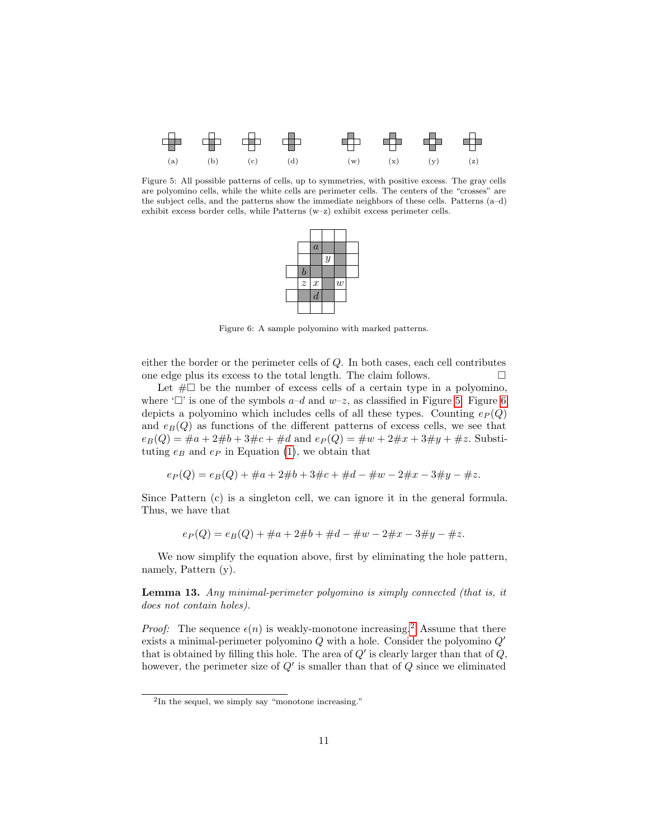<span id="page-10-0"></span>

<span id="page-10-1"></span>Figure 5: All possible patterns of cells, up to symmetries, with positive excess. The gray cells are polyomino cells, while the white cells are perimeter cells. The centers of the "crosses" are the subject cells, and the patterns show the immediate neighbors of these cells. Patterns (a–d) exhibit excess border cells, while Patterns (w–z) exhibit excess perimeter cells.



Figure 6: A sample polyomino with marked patterns.

either the border or the perimeter cells of Q. In both cases, each cell contributes one edge plus its excess to the total length. The claim follows.  $\Box$ 

Let  $\#\Box$  be the number of excess cells of a certain type in a polyomino, where ' $\Box$ ' is one of the symbols  $a-d$  and  $w-z$ , as classified in Figure [5.](#page-10-0) Figure [6](#page-10-1) depicts a polyomino which includes cells of all these types. Counting  $e_P(Q)$ and  $e_B(Q)$  as functions of the different patterns of excess cells, we see that  $e_B(Q) = \#a + 2\#b + 3\#c + \#d$  and  $e_P(Q) = \#w + 2\#x + 3\#y + \#z$ . Substituting  $e_B$  and  $e_P$  in Equation [\(1\)](#page-9-1), we obtain that

$$
e_P(Q) = e_B(Q) + \#a + 2\#b + 3\#c + \#d - \#w - 2\#x - 3\#y - \#z.
$$

Since Pattern (c) is a singleton cell, we can ignore it in the general formula. Thus, we have that

$$
e_P(Q) = e_B(Q) + \#a + 2\#b + \#d - \#w - 2\#x - 3\#y - \#z.
$$

We now simplify the equation above, first by eliminating the hole pattern, namely, Pattern (y).

<span id="page-10-3"></span>Lemma 13. Any minimal-perimeter polyomino is simply connected (that is, it does not contain holes).

*Proof:* The sequence  $\epsilon(n)$  is weakly-monotone increasing.<sup>[2](#page-10-2)</sup> Assume that there exists a minimal-perimeter polyomino  $Q$  with a hole. Consider the polyomino  $Q'$ that is obtained by filling this hole. The area of  $Q'$  is clearly larger than that of  $Q$ , however, the perimeter size of  $Q'$  is smaller than that of  $Q$  since we eliminated

<span id="page-10-2"></span><sup>2</sup> In the sequel, we simply say "monotone increasing."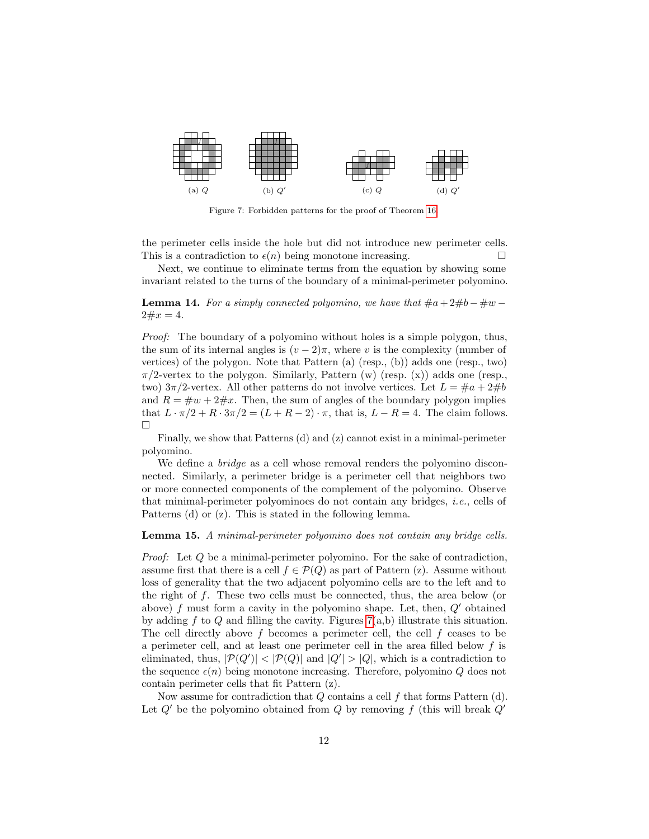<span id="page-11-0"></span>

Figure 7: Forbidden patterns for the proof of Theorem [16.](#page-12-0)

the perimeter cells inside the hole but did not introduce new perimeter cells. This is a contradiction to  $\epsilon(n)$  being monotone increasing.

Next, we continue to eliminate terms from the equation by showing some invariant related to the turns of the boundary of a minimal-perimeter polyomino.

<span id="page-11-1"></span>**Lemma 14.** For a simply connected polyomino, we have that  $\#a + 2\#b - \#w 2 \# x = 4.$ 

Proof: The boundary of a polyomino without holes is a simple polygon, thus, the sum of its internal angles is  $(v-2)\pi$ , where v is the complexity (number of vertices) of the polygon. Note that Pattern (a) (resp., (b)) adds one (resp., two)  $\pi/2$ -vertex to the polygon. Similarly, Pattern (w) (resp. (x)) adds one (resp., two)  $3\pi/2$ -vertex. All other patterns do not involve vertices. Let  $L = \#a + 2\#b$ and  $R = \#w + 2\#x$ . Then, the sum of angles of the boundary polygon implies that  $L \cdot \pi/2 + R \cdot 3\pi/2 = (L + R - 2) \cdot \pi$ , that is,  $L - R = 4$ . The claim follows.  $\Box$ 

Finally, we show that Patterns (d) and (z) cannot exist in a minimal-perimeter polyomino.

We define a *bridge* as a cell whose removal renders the polyomino disconnected. Similarly, a perimeter bridge is a perimeter cell that neighbors two or more connected components of the complement of the polyomino. Observe that minimal-perimeter polyominoes do not contain any bridges, i.e., cells of Patterns (d) or (z). This is stated in the following lemma.

#### <span id="page-11-2"></span>Lemma 15. A minimal-perimeter polyomino does not contain any bridge cells.

Proof: Let Q be a minimal-perimeter polyomino. For the sake of contradiction, assume first that there is a cell  $f \in \mathcal{P}(Q)$  as part of Pattern (z). Assume without loss of generality that the two adjacent polyomino cells are to the left and to the right of f. These two cells must be connected, thus, the area below (or above) f must form a cavity in the polyomino shape. Let, then,  $Q'$  obtained by adding f to Q and filling the cavity. Figures  $7(a,b)$  illustrate this situation. The cell directly above f becomes a perimeter cell, the cell f ceases to be a perimeter cell, and at least one perimeter cell in the area filled below f is eliminated, thus,  $|\mathcal{P}(Q')| < |\mathcal{P}(Q)|$  and  $|Q'| > |Q|$ , which is a contradiction to the sequence  $\epsilon(n)$  being monotone increasing. Therefore, polyomino Q does not contain perimeter cells that fit Pattern (z).

Now assume for contradiction that  $Q$  contains a cell  $f$  that forms Pattern  $(d)$ . Let  $Q'$  be the polyomino obtained from Q by removing f (this will break  $Q'$ )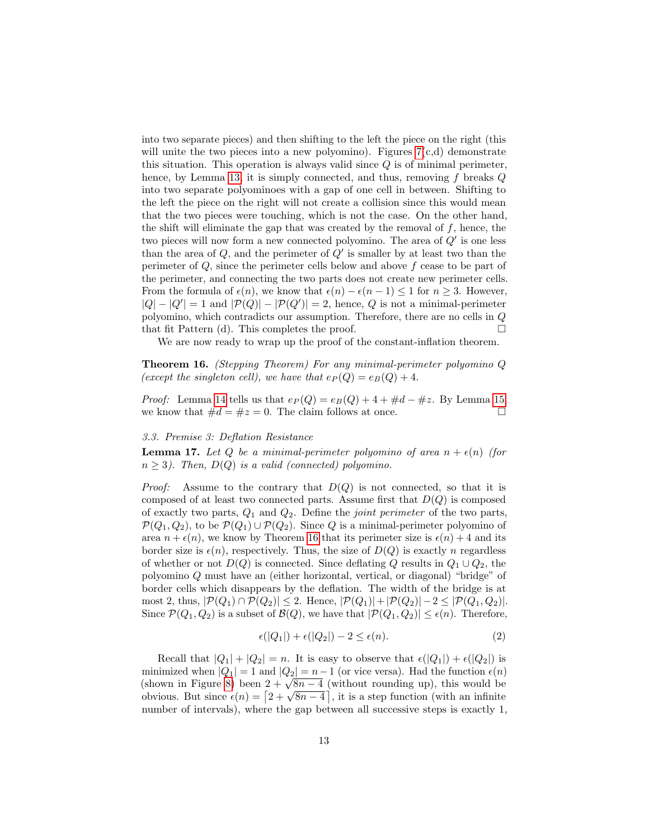into two separate pieces) and then shifting to the left the piece on the right (this will unite the two pieces into a new polyomino). Figures  $7(c,d)$  demonstrate this situation. This operation is always valid since  $Q$  is of minimal perimeter, hence, by Lemma [13,](#page-10-3) it is simply connected, and thus, removing  $f$  breaks  $Q$ into two separate polyominoes with a gap of one cell in between. Shifting to the left the piece on the right will not create a collision since this would mean that the two pieces were touching, which is not the case. On the other hand, the shift will eliminate the gap that was created by the removal of  $f$ , hence, the two pieces will now form a new connected polyomino. The area of  $Q'$  is one less than the area of  $Q$ , and the perimeter of  $Q'$  is smaller by at least two than the perimeter of  $Q$ , since the perimeter cells below and above  $f$  cease to be part of the perimeter, and connecting the two parts does not create new perimeter cells. From the formula of  $\epsilon(n)$ , we know that  $\epsilon(n) - \epsilon(n-1) \leq 1$  for  $n \geq 3$ . However,  $|Q| - |Q'| = 1$  and  $|\mathcal{P}(Q)| - |\mathcal{P}(Q')| = 2$ , hence, Q is not a minimal-perimeter polyomino, which contradicts our assumption. Therefore, there are no cells in Q that fit Pattern (d). This completes the proof.  $\Box$ 

We are now ready to wrap up the proof of the constant-inflation theorem.

<span id="page-12-0"></span>Theorem 16. (Stepping Theorem) For any minimal-perimeter polyomino Q (except the singleton cell), we have that  $e_P(Q) = e_B(Q) + 4$ .

*Proof:* Lemma [14](#page-11-1) tells us that  $e_P(Q) = e_B(Q) + 4 + \text{#d} - \text{#z}$ . By Lemma [15,](#page-11-2) we know that  $\#d = \#z = 0$ . The claim follows at once.

# 3.3. Premise 3: Deflation Resistance

**Lemma 17.** Let Q be a minimal-perimeter polyomino of area  $n + \epsilon(n)$  (for  $n \geq 3$ ). Then,  $D(Q)$  is a valid (connected) polyomino.

*Proof:* Assume to the contrary that  $D(Q)$  is not connected, so that it is composed of at least two connected parts. Assume first that  $D(Q)$  is composed of exactly two parts,  $Q_1$  and  $Q_2$ . Define the *joint perimeter* of the two parts,  $\mathcal{P}(Q_1, Q_2)$ , to be  $\mathcal{P}(Q_1) \cup \mathcal{P}(Q_2)$ . Since Q is a minimal-perimeter polyomino of area  $n + \epsilon(n)$ , we know by Theorem [16](#page-12-0) that its perimeter size is  $\epsilon(n) + 4$  and its border size is  $\epsilon(n)$ , respectively. Thus, the size of  $D(Q)$  is exactly n regardless of whether or not  $D(Q)$  is connected. Since deflating Q results in  $Q_1 \cup Q_2$ , the polyomino Q must have an (either horizontal, vertical, or diagonal) "bridge" of border cells which disappears by the deflation. The width of the bridge is at most 2, thus,  $|\mathcal{P}(Q_1) \cap \mathcal{P}(Q_2)| \leq 2$ . Hence,  $|\mathcal{P}(Q_1)| + |\mathcal{P}(Q_2)| - 2 \leq |\mathcal{P}(Q_1, Q_2)|$ . Since  $\mathcal{P}(Q_1, Q_2)$  is a subset of  $\mathcal{B}(Q)$ , we have that  $|\mathcal{P}(Q_1, Q_2)| \leq \epsilon(n)$ . Therefore,

<span id="page-12-1"></span>
$$
\epsilon(|Q_1|) + \epsilon(|Q_2|) - 2 \le \epsilon(n). \tag{2}
$$

Recall that  $|Q_1| + |Q_2| = n$ . It is easy to observe that  $\epsilon(|Q_1|) + \epsilon(|Q_2|)$  is minimized when  $|Q_1| = 1$  and  $|Q_2| = n - 1$  (or vice versa). Had the function  $\epsilon(n)$ minimized when  $|Q_1| = 1$  and  $|Q_2| = n - 1$  (or vice versa). Had the function  $\epsilon(n)$  (shown in Figure [8\)](#page-13-0) been  $2 + \sqrt{8n - 4}$  (without rounding up), this would be (shown in rigure  $\epsilon$ ) been  $2 + \sqrt{8n-4}$  (without rounding up), this would be obvious. But since  $\epsilon(n) = \left[2 + \sqrt{8n-4}\right]$ , it is a step function (with an infinite number of intervals), where the gap between all successive steps is exactly 1,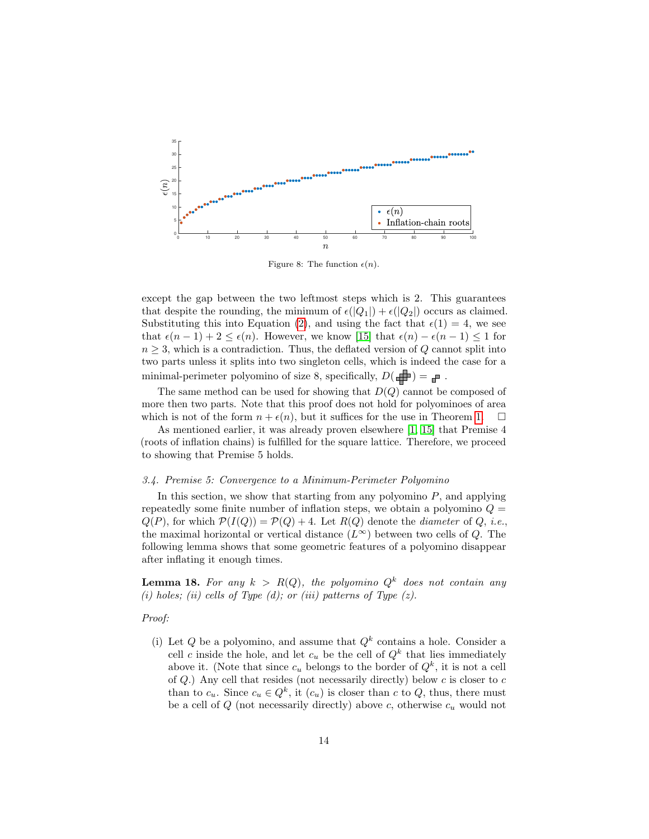<span id="page-13-0"></span>

Figure 8: The function  $\epsilon(n)$ .

except the gap between the two leftmost steps which is 2. This guarantees that despite the rounding, the minimum of  $\epsilon(|Q_1|) + \epsilon(|Q_2|)$  occurs as claimed. Substituting this into Equation [\(2\)](#page-12-1), and using the fact that  $\epsilon(1) = 4$ , we see that  $\epsilon(n-1) + 2 \leq \epsilon(n)$ . However, we know [\[15\]](#page-23-6) that  $\epsilon(n) - \epsilon(n-1) \leq 1$  for  $n \geq 3$ , which is a contradiction. Thus, the deflated version of Q cannot split into two parts unless it splits into two singleton cells, which is indeed the case for a minimal-perimeter polyomino of size 8, specifically,  $D(\Box\hspace{-3.5pt}C)=\Box\hspace{-3.5pt}C$  .

The same method can be used for showing that  $D(Q)$  cannot be composed of more then two parts. Note that this proof does not hold for polyominoes of area which is not of the form  $n + \epsilon(n)$ , but it suffices for the use in Theorem [1.](#page-4-2)  $\Box$ 

As mentioned earlier, it was already proven elsewhere [\[1,](#page-22-2) [15\]](#page-23-6) that Premise 4 (roots of inflation chains) is fulfilled for the square lattice. Therefore, we proceed to showing that Premise 5 holds.

#### 3.4. Premise 5: Convergence to a Minimum-Perimeter Polyomino

In this section, we show that starting from any polyomino  $P$ , and applying repeatedly some finite number of inflation steps, we obtain a polyomino  $Q =$  $Q(P)$ , for which  $\mathcal{P}(I(Q)) = \mathcal{P}(Q) + 4$ . Let  $R(Q)$  denote the *diameter* of Q, *i.e.*, the maximal horizontal or vertical distance  $(L^{\infty})$  between two cells of Q. The following lemma shows that some geometric features of a polyomino disappear after inflating it enough times.

<span id="page-13-1"></span>**Lemma 18.** For any  $k > R(Q)$ , the polyomino  $Q^k$  does not contain any (i) holes; (ii) cells of Type (d); or (iii) patterns of Type  $(z)$ .

# Proof:

(i) Let Q be a polyomino, and assume that  $Q^k$  contains a hole. Consider a cell c inside the hole, and let  $c_u$  be the cell of  $Q^k$  that lies immediately above it. (Note that since  $c_u$  belongs to the border of  $Q^k$ , it is not a cell of  $Q$ .) Any cell that resides (not necessarily directly) below  $c$  is closer to  $c$ than to  $c_u$ . Since  $c_u \in Q^k$ , it  $(c_u)$  is closer than c to Q, thus, there must be a cell of  $Q$  (not necessarily directly) above c, otherwise  $c_u$  would not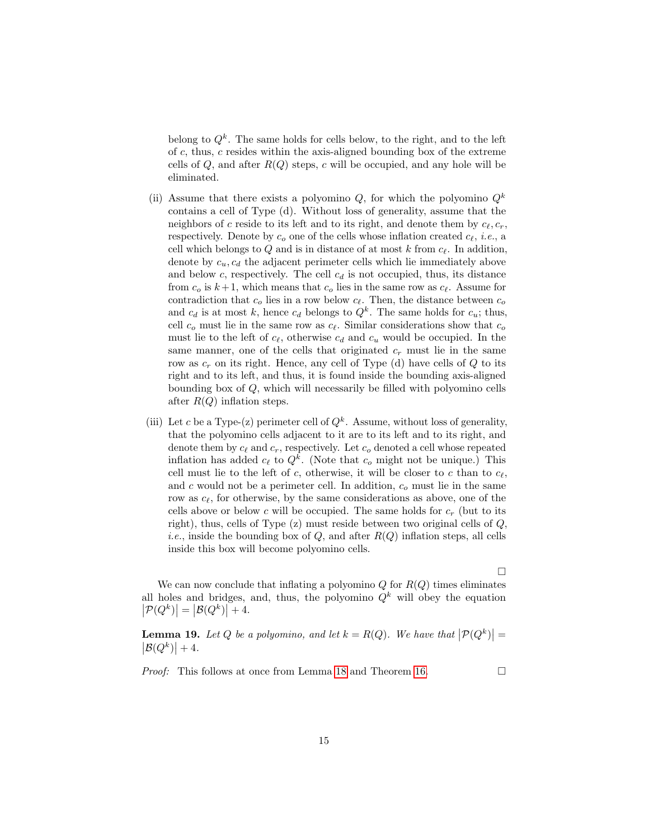belong to  $Q^k$ . The same holds for cells below, to the right, and to the left of  $c$ , thus,  $c$  resides within the axis-aligned bounding box of the extreme cells of  $Q$ , and after  $R(Q)$  steps, c will be occupied, and any hole will be eliminated.

- (ii) Assume that there exists a polyomino  $Q$ , for which the polyomino  $Q^k$ contains a cell of Type (d). Without loss of generality, assume that the neighbors of c reside to its left and to its right, and denote them by  $c_{\ell}, c_r$ , respectively. Denote by  $c<sub>o</sub>$  one of the cells whose inflation created  $c_{\ell}$ , *i.e.*, a cell which belongs to  $Q$  and is in distance of at most  $k$  from  $c_{\ell}$ . In addition, denote by  $c_u, c_d$  the adjacent perimeter cells which lie immediately above and below c, respectively. The cell  $c_d$  is not occupied, thus, its distance from  $c_o$  is  $k+1$ , which means that  $c_o$  lies in the same row as  $c_{\ell}$ . Assume for contradiction that  $c_o$  lies in a row below  $c_{\ell}$ . Then, the distance between  $c_o$ and  $c_d$  is at most k, hence  $c_d$  belongs to  $Q^k$ . The same holds for  $c_u$ ; thus, cell  $c_o$  must lie in the same row as  $c_{\ell}$ . Similar considerations show that  $c_o$ must lie to the left of  $c_{\ell}$ , otherwise  $c_d$  and  $c_u$  would be occupied. In the same manner, one of the cells that originated  $c_r$  must lie in the same row as  $c_r$  on its right. Hence, any cell of Type (d) have cells of Q to its right and to its left, and thus, it is found inside the bounding axis-aligned bounding box of Q, which will necessarily be filled with polyomino cells after  $R(Q)$  inflation steps.
- (iii) Let c be a Type-(z) perimeter cell of  $Q^k$ . Assume, without loss of generality, that the polyomino cells adjacent to it are to its left and to its right, and denote them by  $c_{\ell}$  and  $c_r$ , respectively. Let  $c_o$  denoted a cell whose repeated inflation has added  $c_{\ell}$  to  $Q^k$ . (Note that  $c_o$  might not be unique.) This cell must lie to the left of c, otherwise, it will be closer to c than to  $c_{\ell}$ , and c would not be a perimeter cell. In addition,  $c<sub>o</sub>$  must lie in the same row as  $c_{\ell}$ , for otherwise, by the same considerations as above, one of the cells above or below c will be occupied. The same holds for  $c_r$  (but to its right), thus, cells of Type (z) must reside between two original cells of Q, *i.e.*, inside the bounding box of  $Q$ , and after  $R(Q)$  inflation steps, all cells inside this box will become polyomino cells.

We can now conclude that inflating a polyomino  $Q$  for  $R(Q)$  times eliminates all holes and bridges, and, thus, the polyomino  $Q^k$  will obey the equation  $\left| \mathcal{P}(Q^k) \right| = \left| \mathcal{B}(Q^k) \right| + 4.$ 

<span id="page-14-0"></span>**Lemma 19.** Let Q be a polyomino, and let  $k = R(Q)$ . We have that  $|\mathcal{P}(Q^k)| = |\mathcal{B}(Q^k)| + 4$ .  $\left|\mathcal{B}(Q^k)\right|+4.$ 

*Proof:* This follows at once from Lemma [18](#page-13-1) and Theorem [16.](#page-12-0)

 $\Box$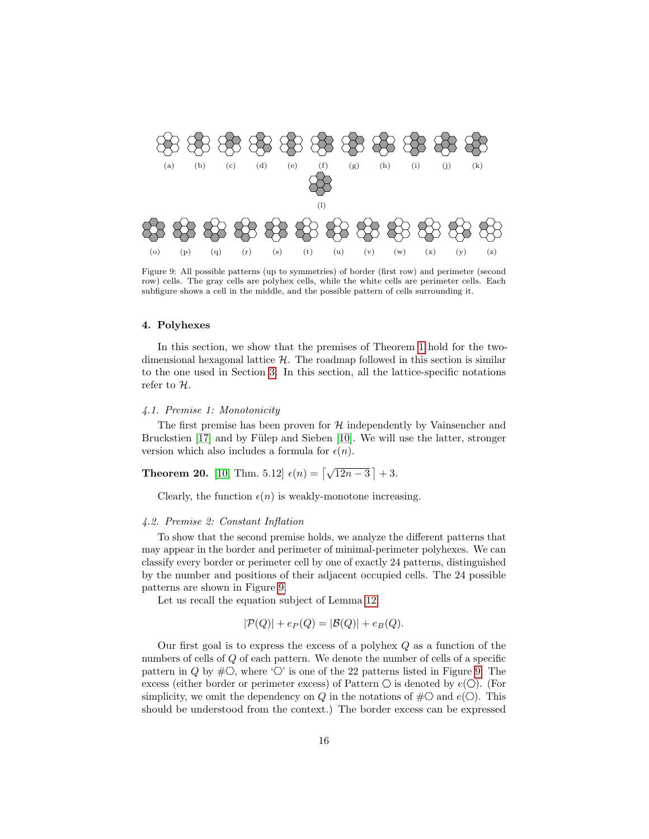<span id="page-15-1"></span>

Figure 9: All possible patterns (up to symmetries) of border (first row) and perimeter (second row) cells. The gray cells are polyhex cells, while the white cells are perimeter cells. Each subfigure shows a cell in the middle, and the possible pattern of cells surrounding it.

# <span id="page-15-0"></span>4. Polyhexes

In this section, we show that the premises of Theorem [1](#page-4-2) hold for the twodimensional hexagonal lattice  $H$ . The roadmap followed in this section is similar to the one used in Section [3.](#page-9-0) In this section, all the lattice-specific notations refer to H.

# 4.1. Premise 1: Monotonicity

The first premise has been proven for  $H$  independently by Vainsencher and Bruckstien  $[17]$  and by Fülep and Sieben  $[10]$ . We will use the latter, stronger version which also includes a formula for  $\epsilon(n)$ .

<span id="page-15-2"></span>**Theorem 20.** [10, Thm. 5.12] 
$$
\epsilon(n) = \left[\sqrt{12n-3}\right] + 3
$$
.

Clearly, the function  $\epsilon(n)$  is weakly-monotone increasing.

#### 4.2. Premise 2: Constant Inflation

To show that the second premise holds, we analyze the different patterns that may appear in the border and perimeter of minimal-perimeter polyhexes. We can classify every border or perimeter cell by one of exactly 24 patterns, distinguished by the number and positions of their adjacent occupied cells. The 24 possible patterns are shown in Figure [9.](#page-15-1)

Let us recall the equation subject of Lemma [12.](#page-9-2)

$$
|\mathcal{P}(Q)| + e_P(Q) = |\mathcal{B}(Q)| + e_B(Q).
$$

Our first goal is to express the excess of a polyhex Q as a function of the numbers of cells of Q of each pattern. We denote the number of cells of a specific pattern in Q by  $\#\circlearrowleft$ , where ' $\circlearrowright$ ' is one of the 22 patterns listed in Figure [9.](#page-15-1) The excess (either border or perimeter excess) of Pattern  $\bigcirc$  is denoted by  $e(\bigcirc)$ . (For simplicity, we omit the dependency on Q in the notations of  $\#\Box$  and  $e(\bigcirc)$ . This should be understood from the context.) The border excess can be expressed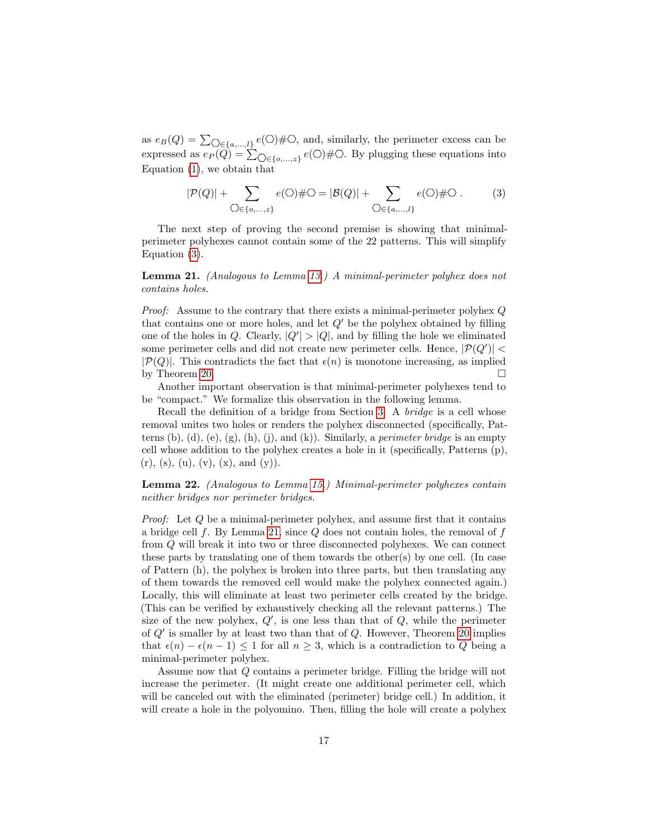as  $e_B(Q) = \sum_{\bigcirc \in \{a,\ldots,l\}} e(\bigcirc) \# \bigcirc$ , and, similarly, the perimeter excess can be expressed as  $e_P(Q) = \sum_{\bigcirc \in \{o,\dots,z\}} e(\bigcirc) \# \circlearrowright$ . By plugging these equations into Equation [\(1\)](#page-9-1), we obtain that

<span id="page-16-0"></span>
$$
|\mathcal{P}(Q)| + \sum_{\bigcirc \in \{o,\dots,z\}} e(\bigcirc) \# \bigcirc = |\mathcal{B}(Q)| + \sum_{\bigcirc \in \{a,\dots,l\}} e(\bigcirc) \# \bigcirc .
$$
 (3)

The next step of proving the second premise is showing that minimalperimeter polyhexes cannot contain some of the 22 patterns. This will simplify Equation [\(3\)](#page-16-0).

<span id="page-16-1"></span>Lemma 21. (Analogous to Lemma [13.](#page-10-3)) A minimal-perimeter polyhex does not contains holes.

Proof: Assume to the contrary that there exists a minimal-perimeter polyhex Q that contains one or more holes, and let  $Q'$  be the polyhex obtained by filling one of the holes in Q. Clearly,  $|Q'| > |Q|$ , and by filling the hole we eliminated some perimeter cells and did not create new perimeter cells. Hence,  $|\mathcal{P}(Q')|$  <  $|\mathcal{P}(Q)|$ . This contradicts the fact that  $\epsilon(n)$  is monotone increasing, as implied by Theorem [20.](#page-15-2)  $\Box$ 

Another important observation is that minimal-perimeter polyhexes tend to be "compact." We formalize this observation in the following lemma.

Recall the definition of a bridge from Section [3:](#page-9-0) A bridge is a cell whose removal unites two holes or renders the polyhex disconnected (specifically, Patterns (b), (d), (e), (g), (h), (j), and (k)). Similarly, a *perimeter bridge* is an empty cell whose addition to the polyhex creates a hole in it (specifically, Patterns (p),  $(r)$ , (s), (u), (v), (x), and (y)).

<span id="page-16-2"></span>Lemma 22. (Analogous to Lemma [15.](#page-11-2)) Minimal-perimeter polyhexes contain neither bridges nor perimeter bridges.

Proof: Let Q be a minimal-perimeter polyhex, and assume first that it contains a bridge cell f. By Lemma [21,](#page-16-1) since  $Q$  does not contain holes, the removal of f from Q will break it into two or three disconnected polyhexes. We can connect these parts by translating one of them towards the other(s) by one cell. (In case of Pattern (h), the polyhex is broken into three parts, but then translating any of them towards the removed cell would make the polyhex connected again.) Locally, this will eliminate at least two perimeter cells created by the bridge. (This can be verified by exhaustively checking all the relevant patterns.) The size of the new polyhex,  $Q'$ , is one less than that of  $Q$ , while the perimeter of  $Q'$  is smaller by at least two than that of  $Q$ . However, Theorem [20](#page-15-2) implies that  $\epsilon(n) - \epsilon(n-1) \leq 1$  for all  $n \geq 3$ , which is a contradiction to Q being a minimal-perimeter polyhex.

Assume now that Q contains a perimeter bridge. Filling the bridge will not increase the perimeter. (It might create one additional perimeter cell, which will be canceled out with the eliminated (perimeter) bridge cell.) In addition, it will create a hole in the polyomino. Then, filling the hole will create a polyhex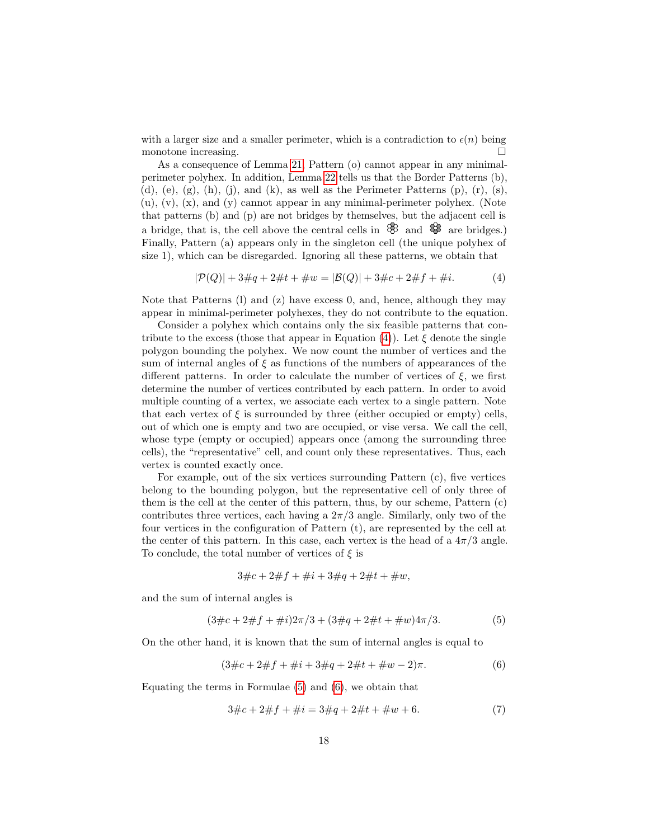with a larger size and a smaller perimeter, which is a contradiction to  $\epsilon(n)$  being monotone increasing.

As a consequence of Lemma [21,](#page-16-1) Pattern (o) cannot appear in any minimalperimeter polyhex. In addition, Lemma [22](#page-16-2) tells us that the Border Patterns (b), (d), (e), (g), (h), (j), and (k), as well as the Perimeter Patterns (p), (r), (s), (u), (v), (x), and (y) cannot appear in any minimal-perimeter polyhex. (Note that patterns (b) and (p) are not bridges by themselves, but the adjacent cell is a bridge, that is, the cell above the central cells in  $\mathcal{B}$  and  $\mathcal{B}$  are bridges.) Finally, Pattern (a) appears only in the singleton cell (the unique polyhex of size 1), which can be disregarded. Ignoring all these patterns, we obtain that

<span id="page-17-0"></span>
$$
|\mathcal{P}(Q)| + 3\#q + 2\#t + \#w = |\mathcal{B}(Q)| + 3\#c + 2\#f + \#i.
$$
 (4)

Note that Patterns (l) and (z) have excess 0, and, hence, although they may appear in minimal-perimeter polyhexes, they do not contribute to the equation.

Consider a polyhex which contains only the six feasible patterns that con-tribute to the excess (those that appear in Equation [\(4\)](#page-17-0)). Let  $\xi$  denote the single polygon bounding the polyhex. We now count the number of vertices and the sum of internal angles of  $\xi$  as functions of the numbers of appearances of the different patterns. In order to calculate the number of vertices of  $\xi$ , we first determine the number of vertices contributed by each pattern. In order to avoid multiple counting of a vertex, we associate each vertex to a single pattern. Note that each vertex of  $\xi$  is surrounded by three (either occupied or empty) cells, out of which one is empty and two are occupied, or vise versa. We call the cell, whose type (empty or occupied) appears once (among the surrounding three cells), the "representative" cell, and count only these representatives. Thus, each vertex is counted exactly once.

For example, out of the six vertices surrounding Pattern (c), five vertices belong to the bounding polygon, but the representative cell of only three of them is the cell at the center of this pattern, thus, by our scheme, Pattern (c) contributes three vertices, each having a  $2\pi/3$  angle. Similarly, only two of the four vertices in the configuration of Pattern (t), are represented by the cell at the center of this pattern. In this case, each vertex is the head of a  $4\pi/3$  angle. To conclude, the total number of vertices of  $\xi$  is

$$
3\#c + 2\#f + \#i + 3\#q + 2\#t + \#w,
$$

and the sum of internal angles is

<span id="page-17-1"></span>
$$
(3\#c + 2\#f + \#i)2\pi/3 + (3\#q + 2\#t + \#w)4\pi/3.
$$
 (5)

On the other hand, it is known that the sum of internal angles is equal to

<span id="page-17-2"></span>
$$
(3\#c + 2\#f + \#i + 3\#q + 2\#t + \#w - 2)\pi.
$$
 (6)

Equating the terms in Formulae [\(5\)](#page-17-1) and [\(6\)](#page-17-2), we obtain that

<span id="page-17-3"></span>
$$
3\#c + 2\#f + \#i = 3\#q + 2\#t + \#w + 6.
$$
 (7)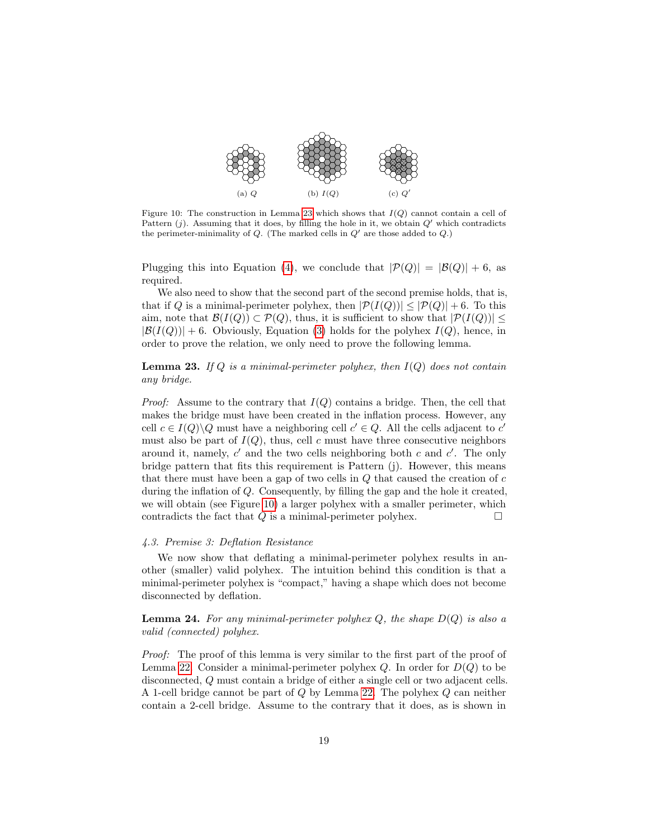<span id="page-18-1"></span>

Figure 10: The construction in Lemma [23](#page-18-0) which shows that  $I(Q)$  cannot contain a cell of Pattern  $(i)$ . Assuming that it does, by filling the hole in it, we obtain  $Q'$  which contradicts the perimeter-minimality of  $Q$ . (The marked cells in  $Q'$  are those added to  $Q$ .)

Plugging this into Equation [\(4\)](#page-17-0), we conclude that  $|\mathcal{P}(Q)| = |\mathcal{B}(Q)| + 6$ , as required.

We also need to show that the second part of the second premise holds, that is, that if Q is a minimal-perimeter polyhex, then  $|\mathcal{P}(I(Q))| \leq |\mathcal{P}(Q)| + 6$ . To this aim, note that  $\mathcal{B}(I(Q)) \subset \mathcal{P}(Q)$ , thus, it is sufficient to show that  $|\mathcal{P}(I(Q))|$  $|\mathcal{B}(I(Q))| + 6$ . Obviously, Equation [\(3\)](#page-16-0) holds for the polyhex  $I(Q)$ , hence, in order to prove the relation, we only need to prove the following lemma.

<span id="page-18-0"></span>**Lemma 23.** If Q is a minimal-perimeter polyhex, then  $I(Q)$  does not contain any bridge.

*Proof:* Assume to the contrary that  $I(Q)$  contains a bridge. Then, the cell that makes the bridge must have been created in the inflation process. However, any cell  $c \in I(Q) \backslash Q$  must have a neighboring cell  $c' \in Q$ . All the cells adjacent to  $c'$ must also be part of  $I(Q)$ , thus, cell c must have three consecutive neighbors around it, namely,  $c'$  and the two cells neighboring both  $c$  and  $c'$ . The only bridge pattern that fits this requirement is Pattern (j). However, this means that there must have been a gap of two cells in  $Q$  that caused the creation of  $c$ during the inflation of Q. Consequently, by filling the gap and the hole it created, we will obtain (see Figure [10\)](#page-18-1) a larger polyhex with a smaller perimeter, which contradicts the fact that  $Q$  is a minimal-perimeter polyhex.  $\Box$ 

# 4.3. Premise 3: Deflation Resistance

We now show that deflating a minimal-perimeter polyhex results in another (smaller) valid polyhex. The intuition behind this condition is that a minimal-perimeter polyhex is "compact," having a shape which does not become disconnected by deflation.

**Lemma 24.** For any minimal-perimeter polyhex Q, the shape  $D(Q)$  is also a valid (connected) polyhex.

Proof: The proof of this lemma is very similar to the first part of the proof of Lemma [22.](#page-16-2) Consider a minimal-perimeter polyhex  $Q$ . In order for  $D(Q)$  to be disconnected, Q must contain a bridge of either a single cell or two adjacent cells. A 1-cell bridge cannot be part of Q by Lemma [22.](#page-16-2) The polyhex Q can neither contain a 2-cell bridge. Assume to the contrary that it does, as is shown in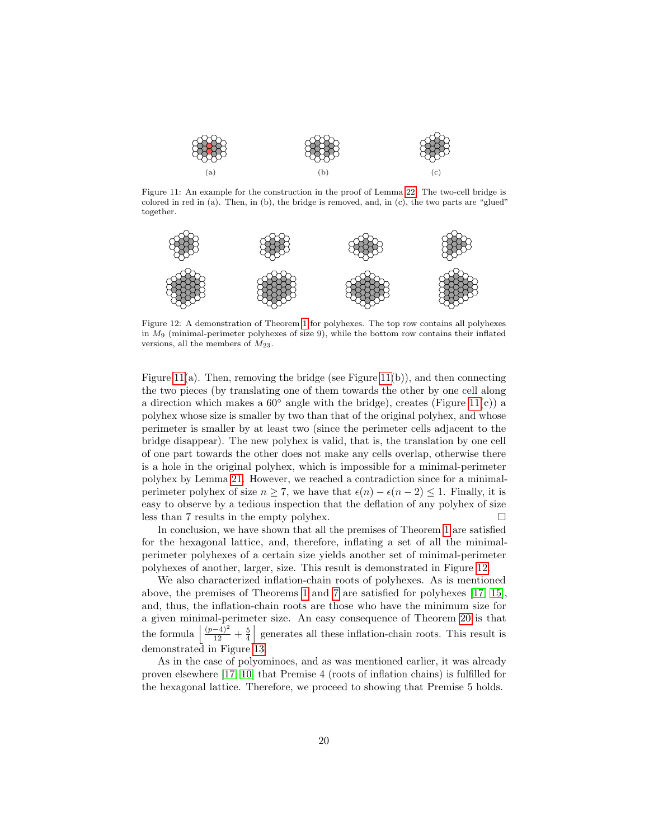<span id="page-19-0"></span>

Figure 11: An example for the construction in the proof of Lemma [22.](#page-16-2) The two-cell bridge is colored in red in (a). Then, in (b), the bridge is removed, and, in (c), the two parts are "glued" together.

<span id="page-19-1"></span>

Figure 12: A demonstration of Theorem [1](#page-4-2) for polyhexes. The top row contains all polyhexes in  $M<sub>9</sub>$  (minimal-perimeter polyhexes of size 9), while the bottom row contains their inflated versions, all the members of  $M_{23}$ .

Figure [11\(](#page-19-0)a). Then, removing the bridge (see Figure 11(b)), and then connecting the two pieces (by translating one of them towards the other by one cell along a direction which makes a  $60°$  angle with the bridge), creates (Figure [11\(](#page-19-0)c)) a polyhex whose size is smaller by two than that of the original polyhex, and whose perimeter is smaller by at least two (since the perimeter cells adjacent to the bridge disappear). The new polyhex is valid, that is, the translation by one cell of one part towards the other does not make any cells overlap, otherwise there is a hole in the original polyhex, which is impossible for a minimal-perimeter polyhex by Lemma [21.](#page-16-1) However, we reached a contradiction since for a minimalperimeter polyhex of size  $n \geq 7$ , we have that  $\epsilon(n) - \epsilon(n-2) \leq 1$ . Finally, it is easy to observe by a tedious inspection that the deflation of any polyhex of size less than 7 results in the empty polyhex.  $\Box$ 

In conclusion, we have shown that all the premises of Theorem [1](#page-4-2) are satisfied for the hexagonal lattice, and, therefore, inflating a set of all the minimalperimeter polyhexes of a certain size yields another set of minimal-perimeter polyhexes of another, larger, size. This result is demonstrated in Figure [12.](#page-19-1)

We also characterized inflation-chain roots of polyhexes. As is mentioned above, the premises of Theorems [1](#page-4-2) and [7](#page-7-0) are satisfied for polyhexes [\[17,](#page-23-8) [15\]](#page-23-6), and, thus, the inflation-chain roots are those who have the minimum size for a given minimal-perimeter size. An easy consequence of Theorem [20](#page-15-2) is that the formula  $\left|\frac{(p-4)^2}{12}+\frac{5}{4}\right|$  generates all these inflation-chain roots. This result is demonstrated in Figure [13.](#page-20-0)

As in the case of polyominoes, and as was mentioned earlier, it was already proven elsewhere [\[17,](#page-23-8) [10\]](#page-23-7) that Premise 4 (roots of inflation chains) is fulfilled for the hexagonal lattice. Therefore, we proceed to showing that Premise 5 holds.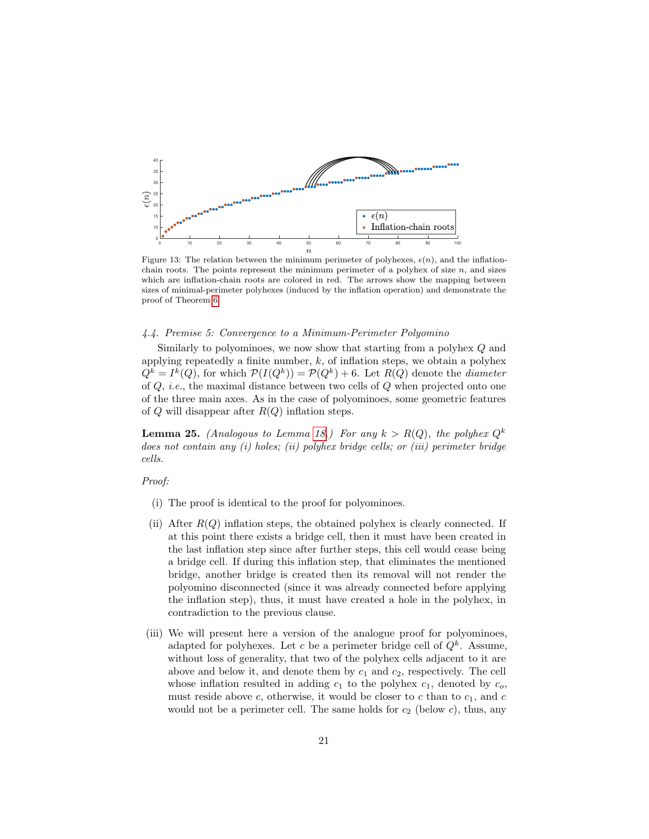<span id="page-20-0"></span>

Figure 13: The relation between the minimum perimeter of polyhexes,  $\epsilon(n)$ , and the inflationchain roots. The points represent the minimum perimeter of a polyhex of size  $n$ , and sizes which are inflation-chain roots are colored in red. The arrows show the mapping between sizes of minimal-perimeter polyhexes (induced by the inflation operation) and demonstrate the proof of Theorem [6.](#page-6-1)

# 4.4. Premise 5: Convergence to a Minimum-Perimeter Polyomino

Similarly to polyominoes, we now show that starting from a polyhex Q and applying repeatedly a finite number,  $k$ , of inflation steps, we obtain a polyhex  $Q^k = I^k(Q)$ , for which  $\mathcal{P}(I(Q^k)) = \mathcal{P}(Q^k) + 6$ . Let  $R(Q)$  denote the *diameter* of Q, i.e., the maximal distance between two cells of Q when projected onto one of the three main axes. As in the case of polyominoes, some geometric features of  $Q$  will disappear after  $R(Q)$  inflation steps.

<span id="page-20-1"></span>**Lemma 25.** (Analogous to Lemma [18.](#page-13-1)) For any  $k > R(Q)$ , the polyhex  $Q^k$ does not contain any (i) holes; (ii) polyhex bridge cells; or (iii) perimeter bridge cells.

# Proof:

- (i) The proof is identical to the proof for polyominoes.
- (ii) After  $R(Q)$  inflation steps, the obtained polyhex is clearly connected. If at this point there exists a bridge cell, then it must have been created in the last inflation step since after further steps, this cell would cease being a bridge cell. If during this inflation step, that eliminates the mentioned bridge, another bridge is created then its removal will not render the polyomino disconnected (since it was already connected before applying the inflation step), thus, it must have created a hole in the polyhex, in contradiction to the previous clause.
- (iii) We will present here a version of the analogue proof for polyominoes, adapted for polyhexes. Let c be a perimeter bridge cell of  $Q^k$ . Assume, without loss of generality, that two of the polyhex cells adjacent to it are above and below it, and denote them by  $c_1$  and  $c_2$ , respectively. The cell whose inflation resulted in adding  $c_1$  to the polyhex  $c_1$ , denoted by  $c_0$ , must reside above c, otherwise, it would be closer to c than to  $c_1$ , and c would not be a perimeter cell. The same holds for  $c_2$  (below  $c$ ), thus, any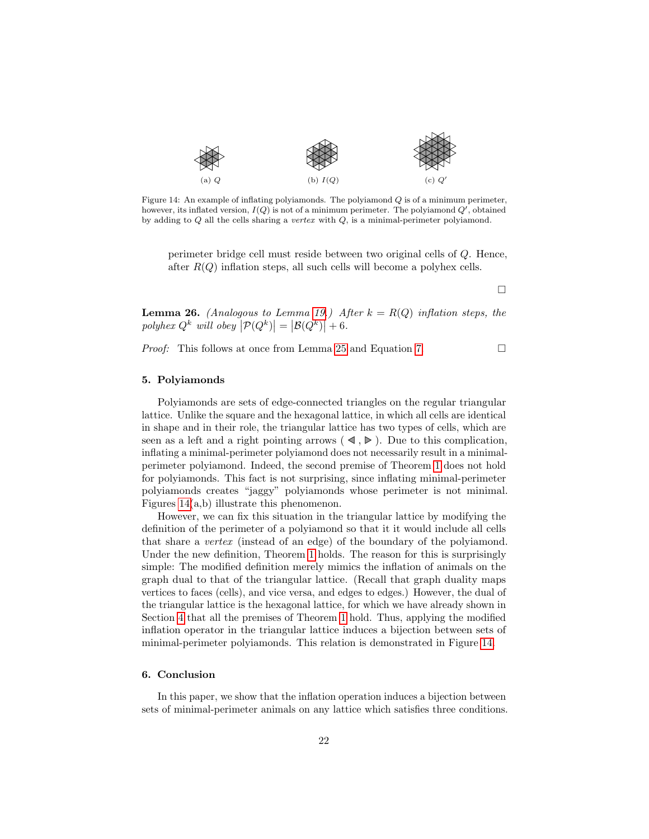<span id="page-21-2"></span>

Figure 14: An example of inflating polyiamonds. The polyiamond  $Q$  is of a minimum perimeter, however, its inflated version,  $I(Q)$  is not of a minimum perimeter. The polyiamond  $Q'$ , obtained by adding to  $Q$  all the cells sharing a vertex with  $Q$ , is a minimal-perimeter polyiamond.

perimeter bridge cell must reside between two original cells of Q. Hence, after  $R(Q)$  inflation steps, all such cells will become a polyhex cells.

 $\Box$ 

**Lemma 26.** (Analogous to Lemma [19.](#page-14-0)) After  $k = R(Q)$  inflation steps, the polyhex  $Q^k$  will obey  $\left| \mathcal{P}(Q^k) \right| = \left| \mathcal{B}(Q^k) \right| + 6$ .

*Proof:* This follows at once from Lemma [25](#page-20-1) and Equation [7.](#page-17-3)  $\Box$ 

# <span id="page-21-0"></span>5. Polyiamonds

Polyiamonds are sets of edge-connected triangles on the regular triangular lattice. Unlike the square and the hexagonal lattice, in which all cells are identical in shape and in their role, the triangular lattice has two types of cells, which are seen as a left and a right pointing arrows  $(\triangleleft, \triangleright)$ . Due to this complication, inflating a minimal-perimeter polyiamond does not necessarily result in a minimalperimeter polyiamond. Indeed, the second premise of Theorem [1](#page-4-2) does not hold for polyiamonds. This fact is not surprising, since inflating minimal-perimeter polyiamonds creates "jaggy" polyiamonds whose perimeter is not minimal. Figures [14\(](#page-21-2)a,b) illustrate this phenomenon.

However, we can fix this situation in the triangular lattice by modifying the definition of the perimeter of a polyiamond so that it it would include all cells that share a vertex (instead of an edge) of the boundary of the polyiamond. Under the new definition, Theorem [1](#page-4-2) holds. The reason for this is surprisingly simple: The modified definition merely mimics the inflation of animals on the graph dual to that of the triangular lattice. (Recall that graph duality maps vertices to faces (cells), and vice versa, and edges to edges.) However, the dual of the triangular lattice is the hexagonal lattice, for which we have already shown in Section [4](#page-15-0) that all the premises of Theorem [1](#page-4-2) hold. Thus, applying the modified inflation operator in the triangular lattice induces a bijection between sets of minimal-perimeter polyiamonds. This relation is demonstrated in Figure [14.](#page-21-2)

# <span id="page-21-1"></span>6. Conclusion

In this paper, we show that the inflation operation induces a bijection between sets of minimal-perimeter animals on any lattice which satisfies three conditions.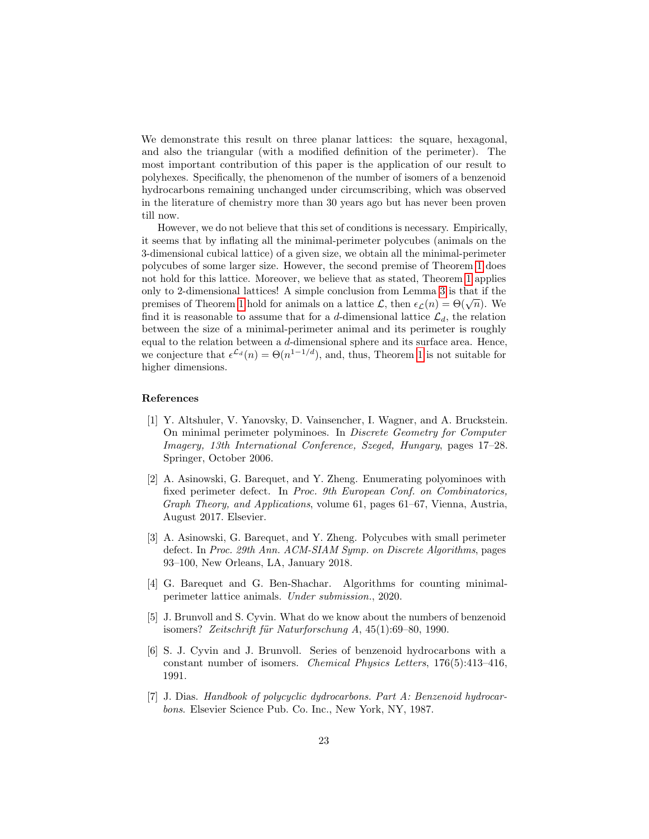We demonstrate this result on three planar lattices: the square, hexagonal, and also the triangular (with a modified definition of the perimeter). The most important contribution of this paper is the application of our result to polyhexes. Specifically, the phenomenon of the number of isomers of a benzenoid hydrocarbons remaining unchanged under circumscribing, which was observed in the literature of chemistry more than 30 years ago but has never been proven till now.

However, we do not believe that this set of conditions is necessary. Empirically, it seems that by inflating all the minimal-perimeter polycubes (animals on the 3-dimensional cubical lattice) of a given size, we obtain all the minimal-perimeter polycubes of some larger size. However, the second premise of Theorem [1](#page-4-2) does not hold for this lattice. Moreover, we believe that as stated, Theorem [1](#page-4-2) applies only to 2-dimensional lattices! A simple conclusion from Lemma [3](#page-5-0) is that if the bomy to z-dimensional lattices: A simple conclusion from Lemma 3 is that if the premises of Theorem [1](#page-4-2) hold for animals on a lattice  $\mathcal{L}$ , then  $\epsilon_{\mathcal{L}}(n) = \Theta(\sqrt{n})$ . We find it is reasonable to assume that for a d-dimensional lattice  $\mathcal{L}_d$ , the relation between the size of a minimal-perimeter animal and its perimeter is roughly equal to the relation between a d-dimensional sphere and its surface area. Hence, we conjecture that  $\epsilon^{\mathcal{L}_d}(n) = \Theta(n^{1-1/d})$ , and, thus, Theorem [1](#page-4-2) is not suitable for higher dimensions.

#### References

- <span id="page-22-2"></span>[1] Y. Altshuler, V. Yanovsky, D. Vainsencher, I. Wagner, and A. Bruckstein. On minimal perimeter polyminoes. In Discrete Geometry for Computer Imagery, 13th International Conference, Szeged, Hungary, pages 17–28. Springer, October 2006.
- <span id="page-22-0"></span>[2] A. Asinowski, G. Barequet, and Y. Zheng. Enumerating polyominoes with fixed perimeter defect. In Proc. 9th European Conf. on Combinatorics, Graph Theory, and Applications, volume 61, pages 61–67, Vienna, Austria, August 2017. Elsevier.
- <span id="page-22-1"></span>[3] A. Asinowski, G. Barequet, and Y. Zheng. Polycubes with small perimeter defect. In Proc. 29th Ann. ACM-SIAM Symp. on Discrete Algorithms, pages 93–100, New Orleans, LA, January 2018.
- <span id="page-22-3"></span>[4] G. Barequet and G. Ben-Shachar. Algorithms for counting minimalperimeter lattice animals. Under submission., 2020.
- <span id="page-22-5"></span>[5] J. Brunvoll and S. Cyvin. What do we know about the numbers of benzenoid isomers? Zeitschrift für Naturforschung  $A$ , 45(1):69–80, 1990.
- <span id="page-22-6"></span>[6] S. J. Cyvin and J. Brunvoll. Series of benzenoid hydrocarbons with a constant number of isomers. Chemical Physics Letters, 176(5):413–416, 1991.
- <span id="page-22-4"></span>[7] J. Dias. Handbook of polycyclic dydrocarbons. Part A: Benzenoid hydrocarbons. Elsevier Science Pub. Co. Inc., New York, NY, 1987.